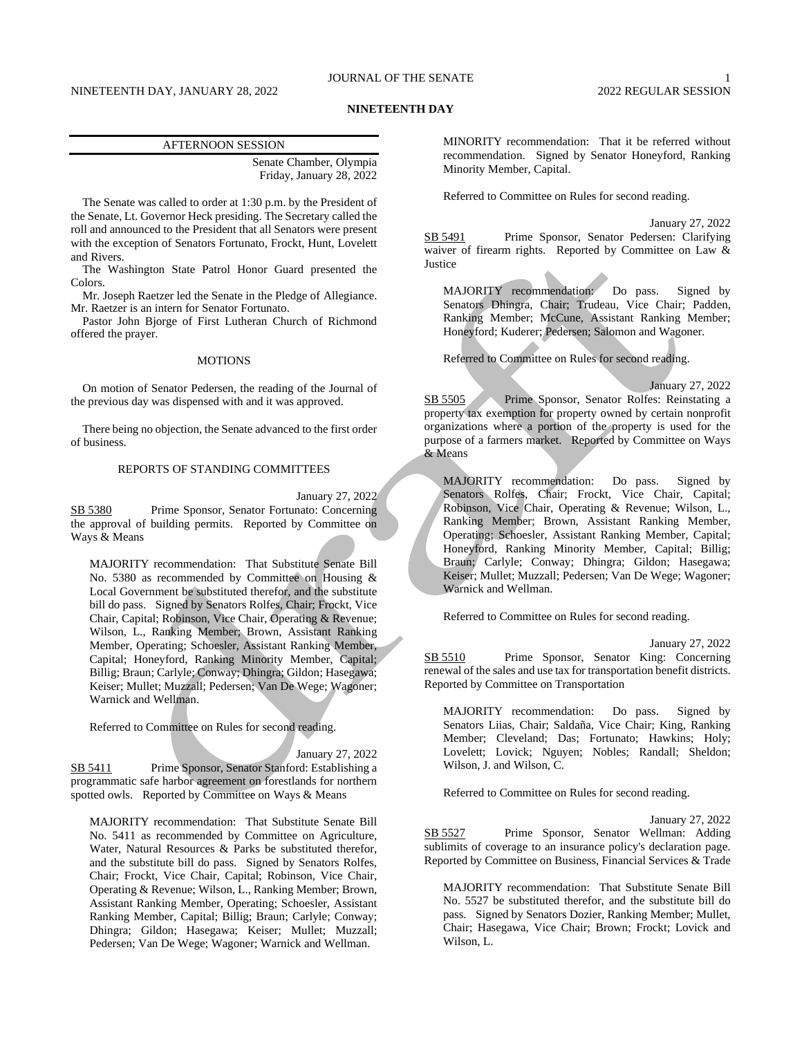# JOURNAL OF THE SENATE 1

# NINETEENTH DAY, JANUARY 28, 2022 2022 2022 2022 2022 REGULAR SESSION

## **NINETEENTH DAY**

### AFTERNOON SESSION

Senate Chamber, Olympia Friday, January 28, 2022

The Senate was called to order at 1:30 p.m. by the President of the Senate, Lt. Governor Heck presiding. The Secretary called the roll and announced to the President that all Senators were present with the exception of Senators Fortunato, Frockt, Hunt, Lovelett and Rivers.

The Washington State Patrol Honor Guard presented the Colors.

Mr. Joseph Raetzer led the Senate in the Pledge of Allegiance. Mr. Raetzer is an intern for Senator Fortunato.

Pastor John Bjorge of First Lutheran Church of Richmond offered the prayer.

## MOTIONS

On motion of Senator Pedersen, the reading of the Journal of the previous day was dispensed with and it was approved.

There being no objection, the Senate advanced to the first order of business.

## REPORTS OF STANDING COMMITTEES

January 27, 2022

SB 5380 Prime Sponsor, Senator Fortunato: Concerning the approval of building permits. Reported by Committee on Ways & Means

MAJORITY recommendation: That Substitute Senate Bill No. 5380 as recommended by Committee on Housing & Local Government be substituted therefor, and the substitute bill do pass. Signed by Senators Rolfes, Chair; Frockt, Vice Chair, Capital; Robinson, Vice Chair, Operating & Revenue; Wilson, L., Ranking Member; Brown, Assistant Ranking Member, Operating; Schoesler, Assistant Ranking Member, Capital; Honeyford, Ranking Minority Member, Capital; Billig; Braun; Carlyle; Conway; Dhingra; Gildon; Hasegawa; Keiser; Mullet; Muzzall; Pedersen; Van De Wege; Wagoner; Warnick and Wellman.

Referred to Committee on Rules for second reading.

## January 27, 2022

SB 5411 Prime Sponsor, Senator Stanford: Establishing a programmatic safe harbor agreement on forestlands for northern spotted owls. Reported by Committee on Ways & Means

MAJORITY recommendation: That Substitute Senate Bill No. 5411 as recommended by Committee on Agriculture, Water, Natural Resources & Parks be substituted therefor, and the substitute bill do pass. Signed by Senators Rolfes, Chair; Frockt, Vice Chair, Capital; Robinson, Vice Chair, Operating & Revenue; Wilson, L., Ranking Member; Brown, Assistant Ranking Member, Operating; Schoesler, Assistant Ranking Member, Capital; Billig; Braun; Carlyle; Conway; Dhingra; Gildon; Hasegawa; Keiser; Mullet; Muzzall; Pedersen; Van De Wege; Wagoner; Warnick and Wellman.

MINORITY recommendation: That it be referred without recommendation. Signed by Senator Honeyford, Ranking Minority Member, Capital.

Referred to Committee on Rules for second reading.

January 27, 2022 SB 5491 Prime Sponsor, Senator Pedersen: Clarifying waiver of firearm rights. Reported by Committee on Law & Justice

MAJORITY recommendation: Do pass. Signed by Senators Dhingra, Chair; Trudeau, Vice Chair; Padden, Ranking Member; McCune, Assistant Ranking Member; Honeyford; Kuderer; Pedersen; Salomon and Wagoner.

Referred to Committee on Rules for second reading.

January 27, 2022 SB 5505 Prime Sponsor, Senator Rolfes: Reinstating a property tax exemption for property owned by certain nonprofit organizations where a portion of the property is used for the purpose of a farmers market. Reported by Committee on Ways & Means

MAJORITY recommendation: Do pass. Signed by Senators Rolfes, Chair; Frockt, Vice Chair, Capital; Robinson, Vice Chair, Operating & Revenue; Wilson, L., Ranking Member; Brown, Assistant Ranking Member, Operating; Schoesler, Assistant Ranking Member, Capital; Honeyford, Ranking Minority Member, Capital; Billig; Braun; Carlyle; Conway; Dhingra; Gildon; Hasegawa; Keiser; Mullet; Muzzall; Pedersen; Van De Wege; Wagoner; Warnick and Wellman.

Referred to Committee on Rules for second reading.

January 27, 2022 SB 5510 Prime Sponsor, Senator King: Concerning renewal of the sales and use tax for transportation benefit districts. Reported by Committee on Transportation

MAJORITY recommendation: Do pass. Signed by Senators Liias, Chair; Saldaña, Vice Chair; King, Ranking Member; Cleveland; Das; Fortunato; Hawkins; Holy; Lovelett; Lovick; Nguyen; Nobles; Randall; Sheldon; Wilson, J. and Wilson, C.

Referred to Committee on Rules for second reading.

January 27, 2022 SB 5527 Prime Sponsor, Senator Wellman: Adding sublimits of coverage to an insurance policy's declaration page. Reported by Committee on Business, Financial Services & Trade

MAJORITY recommendation: That Substitute Senate Bill No. 5527 be substituted therefor, and the substitute bill do pass. Signed by Senators Dozier, Ranking Member; Mullet, Chair; Hasegawa, Vice Chair; Brown; Frockt; Lovick and Wilson, L.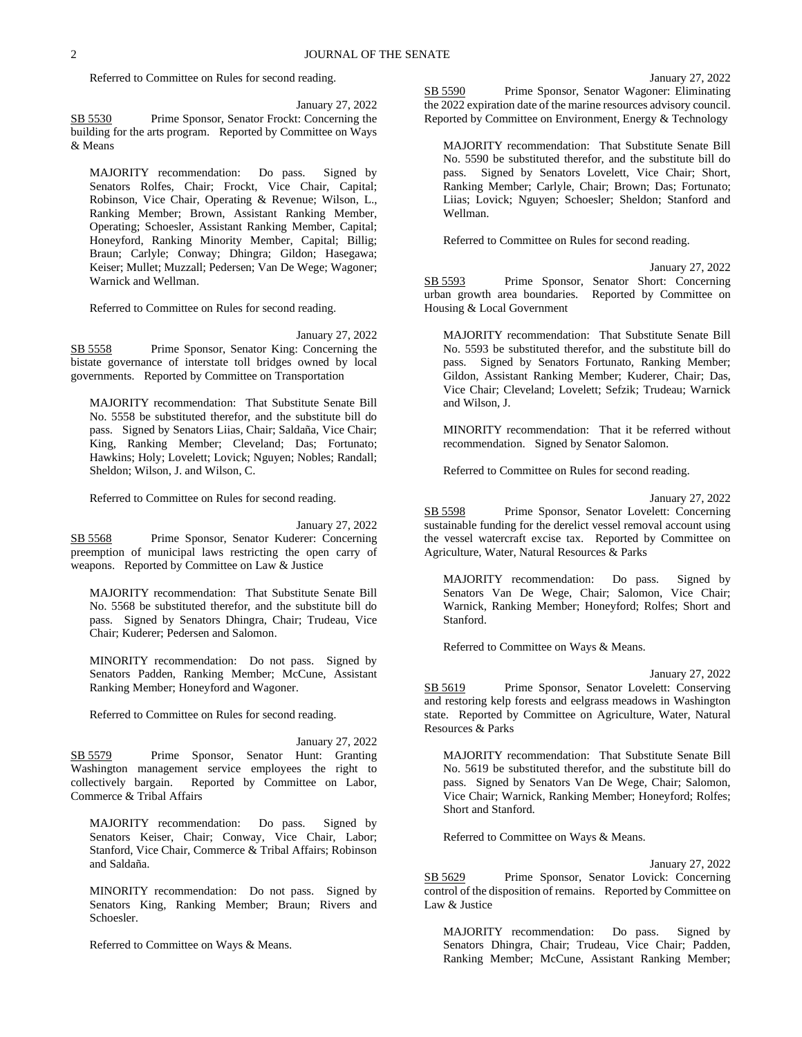#### January 27, 2022

Referred to Committee on Rules for second reading.

January 27, 2022

SB 5530 Prime Sponsor, Senator Frockt: Concerning the building for the arts program. Reported by Committee on Ways & Means

MAJORITY recommendation: Do pass. Signed by Senators Rolfes, Chair; Frockt, Vice Chair, Capital; Robinson, Vice Chair, Operating & Revenue; Wilson, L., Ranking Member; Brown, Assistant Ranking Member, Operating; Schoesler, Assistant Ranking Member, Capital; Honeyford, Ranking Minority Member, Capital; Billig; Braun; Carlyle; Conway; Dhingra; Gildon; Hasegawa; Keiser; Mullet; Muzzall; Pedersen; Van De Wege; Wagoner; Warnick and Wellman.

Referred to Committee on Rules for second reading.

January 27, 2022

SB 5558 Prime Sponsor, Senator King: Concerning the bistate governance of interstate toll bridges owned by local governments. Reported by Committee on Transportation

MAJORITY recommendation: That Substitute Senate Bill No. 5558 be substituted therefor, and the substitute bill do pass. Signed by Senators Liias, Chair; Saldaña, Vice Chair; King, Ranking Member; Cleveland; Das; Fortunato; Hawkins; Holy; Lovelett; Lovick; Nguyen; Nobles; Randall; Sheldon; Wilson, J. and Wilson, C.

Referred to Committee on Rules for second reading.

January 27, 2022

SB 5568 Prime Sponsor, Senator Kuderer: Concerning preemption of municipal laws restricting the open carry of weapons. Reported by Committee on Law & Justice

MAJORITY recommendation: That Substitute Senate Bill No. 5568 be substituted therefor, and the substitute bill do pass. Signed by Senators Dhingra, Chair; Trudeau, Vice Chair; Kuderer; Pedersen and Salomon.

MINORITY recommendation: Do not pass. Signed by Senators Padden, Ranking Member; McCune, Assistant Ranking Member; Honeyford and Wagoner.

Referred to Committee on Rules for second reading.

January 27, 2022 SB 5579 Prime Sponsor, Senator Hunt: Granting Washington management service employees the right to collectively bargain. Reported by Committee on Labor, Reported by Committee on Labor, Commerce & Tribal Affairs

MAJORITY recommendation: Do pass. Signed by Senators Keiser, Chair; Conway, Vice Chair, Labor; Stanford, Vice Chair, Commerce & Tribal Affairs; Robinson and Saldaña.

MINORITY recommendation: Do not pass. Signed by Senators King, Ranking Member; Braun; Rivers and Schoesler.

Referred to Committee on Ways & Means.

SB 5590 Prime Sponsor, Senator Wagoner: Eliminating the 2022 expiration date of the marine resources advisory council. Reported by Committee on Environment, Energy & Technology

MAJORITY recommendation: That Substitute Senate Bill No. 5590 be substituted therefor, and the substitute bill do pass. Signed by Senators Lovelett, Vice Chair; Short, Ranking Member; Carlyle, Chair; Brown; Das; Fortunato; Liias; Lovick; Nguyen; Schoesler; Sheldon; Stanford and Wellman.

Referred to Committee on Rules for second reading.

January 27, 2022 SB 5593 Prime Sponsor, Senator Short: Concerning urban growth area boundaries. Reported by Committee on Housing & Local Government

MAJORITY recommendation: That Substitute Senate Bill No. 5593 be substituted therefor, and the substitute bill do pass. Signed by Senators Fortunato, Ranking Member; Gildon, Assistant Ranking Member; Kuderer, Chair; Das, Vice Chair; Cleveland; Lovelett; Sefzik; Trudeau; Warnick and Wilson, J.

MINORITY recommendation: That it be referred without recommendation. Signed by Senator Salomon.

Referred to Committee on Rules for second reading.

January 27, 2022

SB 5598 Prime Sponsor, Senator Lovelett: Concerning sustainable funding for the derelict vessel removal account using the vessel watercraft excise tax. Reported by Committee on Agriculture, Water, Natural Resources & Parks

MAJORITY recommendation: Do pass. Signed by Senators Van De Wege, Chair; Salomon, Vice Chair; Warnick, Ranking Member; Honeyford; Rolfes; Short and Stanford.

Referred to Committee on Ways & Means.

January 27, 2022

SB 5619 Prime Sponsor, Senator Lovelett: Conserving and restoring kelp forests and eelgrass meadows in Washington state. Reported by Committee on Agriculture, Water, Natural Resources & Parks

MAJORITY recommendation: That Substitute Senate Bill No. 5619 be substituted therefor, and the substitute bill do pass. Signed by Senators Van De Wege, Chair; Salomon, Vice Chair; Warnick, Ranking Member; Honeyford; Rolfes; Short and Stanford.

Referred to Committee on Ways & Means.

January 27, 2022 SB 5629 Prime Sponsor, Senator Lovick: Concerning control of the disposition of remains. Reported by Committee on Law & Justice

MAJORITY recommendation: Do pass. Signed by Senators Dhingra, Chair; Trudeau, Vice Chair; Padden, Ranking Member; McCune, Assistant Ranking Member;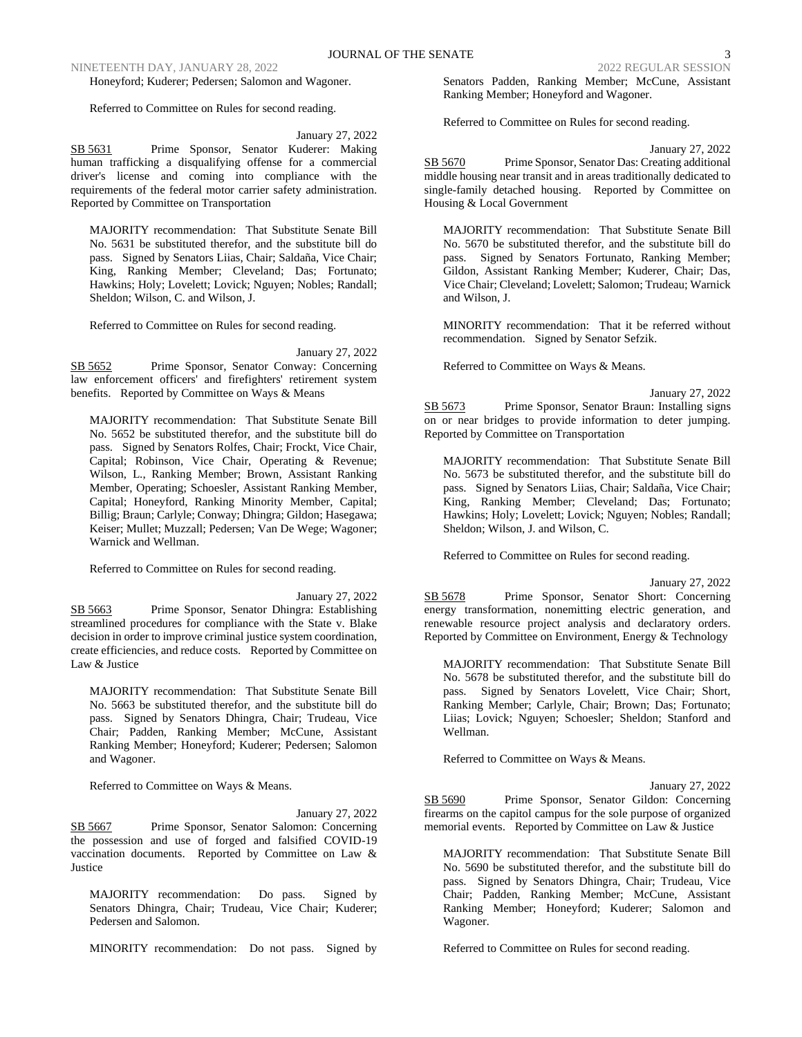Honeyford; Kuderer; Pedersen; Salomon and Wagoner.

Referred to Committee on Rules for second reading.

### January 27, 2022

SB 5631 Prime Sponsor, Senator Kuderer: Making human trafficking a disqualifying offense for a commercial driver's license and coming into compliance with the requirements of the federal motor carrier safety administration. Reported by Committee on Transportation

MAJORITY recommendation: That Substitute Senate Bill No. 5631 be substituted therefor, and the substitute bill do pass. Signed by Senators Liias, Chair; Saldaña, Vice Chair; King, Ranking Member; Cleveland; Das; Fortunato; Hawkins; Holy; Lovelett; Lovick; Nguyen; Nobles; Randall; Sheldon; Wilson, C. and Wilson, J.

Referred to Committee on Rules for second reading.

January 27, 2022

SB 5652 Prime Sponsor, Senator Conway: Concerning law enforcement officers' and firefighters' retirement system benefits. Reported by Committee on Ways & Means

MAJORITY recommendation: That Substitute Senate Bill No. 5652 be substituted therefor, and the substitute bill do pass. Signed by Senators Rolfes, Chair; Frockt, Vice Chair, Capital; Robinson, Vice Chair, Operating & Revenue; Wilson, L., Ranking Member; Brown, Assistant Ranking Member, Operating; Schoesler, Assistant Ranking Member, Capital; Honeyford, Ranking Minority Member, Capital; Billig; Braun; Carlyle; Conway; Dhingra; Gildon; Hasegawa; Keiser; Mullet; Muzzall; Pedersen; Van De Wege; Wagoner; Warnick and Wellman.

Referred to Committee on Rules for second reading.

January 27, 2022

SB 5663 Prime Sponsor, Senator Dhingra: Establishing streamlined procedures for compliance with the State v. Blake decision in order to improve criminal justice system coordination, create efficiencies, and reduce costs. Reported by Committee on Law & Justice

MAJORITY recommendation: That Substitute Senate Bill No. 5663 be substituted therefor, and the substitute bill do pass. Signed by Senators Dhingra, Chair; Trudeau, Vice Chair; Padden, Ranking Member; McCune, Assistant Ranking Member; Honeyford; Kuderer; Pedersen; Salomon and Wagoner.

Referred to Committee on Ways & Means.

January 27, 2022 SB 5667 Prime Sponsor, Senator Salomon: Concerning the possession and use of forged and falsified COVID-19 vaccination documents. Reported by Committee on Law & Justice

MAJORITY recommendation: Do pass. Signed by Senators Dhingra, Chair; Trudeau, Vice Chair; Kuderer; Pedersen and Salomon.

MINORITY recommendation: Do not pass. Signed by

Senators Padden, Ranking Member; McCune, Assistant Ranking Member; Honeyford and Wagoner.

Referred to Committee on Rules for second reading.

January 27, 2022

SB 5670 Prime Sponsor, Senator Das: Creating additional middle housing near transit and in areas traditionally dedicated to single-family detached housing. Reported by Committee on Housing & Local Government

MAJORITY recommendation: That Substitute Senate Bill No. 5670 be substituted therefor, and the substitute bill do pass. Signed by Senators Fortunato, Ranking Member; Gildon, Assistant Ranking Member; Kuderer, Chair; Das, Vice Chair; Cleveland; Lovelett; Salomon; Trudeau; Warnick and Wilson, J.

MINORITY recommendation: That it be referred without recommendation. Signed by Senator Sefzik.

Referred to Committee on Ways & Means.

January 27, 2022

SB 5673 Prime Sponsor, Senator Braun: Installing signs on or near bridges to provide information to deter jumping. Reported by Committee on Transportation

MAJORITY recommendation: That Substitute Senate Bill No. 5673 be substituted therefor, and the substitute bill do pass. Signed by Senators Liias, Chair; Saldaña, Vice Chair; King, Ranking Member; Cleveland; Das; Fortunato; Hawkins; Holy; Lovelett; Lovick; Nguyen; Nobles; Randall; Sheldon; Wilson, J. and Wilson, C.

Referred to Committee on Rules for second reading.

January 27, 2022

SB 5678 Prime Sponsor, Senator Short: Concerning energy transformation, nonemitting electric generation, and renewable resource project analysis and declaratory orders. Reported by Committee on Environment, Energy & Technology

MAJORITY recommendation: That Substitute Senate Bill No. 5678 be substituted therefor, and the substitute bill do pass. Signed by Senators Lovelett, Vice Chair; Short, Ranking Member; Carlyle, Chair; Brown; Das; Fortunato; Liias; Lovick; Nguyen; Schoesler; Sheldon; Stanford and Wellman.

Referred to Committee on Ways & Means.

January 27, 2022

SB 5690 Prime Sponsor, Senator Gildon: Concerning firearms on the capitol campus for the sole purpose of organized memorial events. Reported by Committee on Law & Justice

MAJORITY recommendation: That Substitute Senate Bill No. 5690 be substituted therefor, and the substitute bill do pass. Signed by Senators Dhingra, Chair; Trudeau, Vice Chair; Padden, Ranking Member; McCune, Assistant Ranking Member; Honeyford; Kuderer; Salomon and Wagoner.

Referred to Committee on Rules for second reading.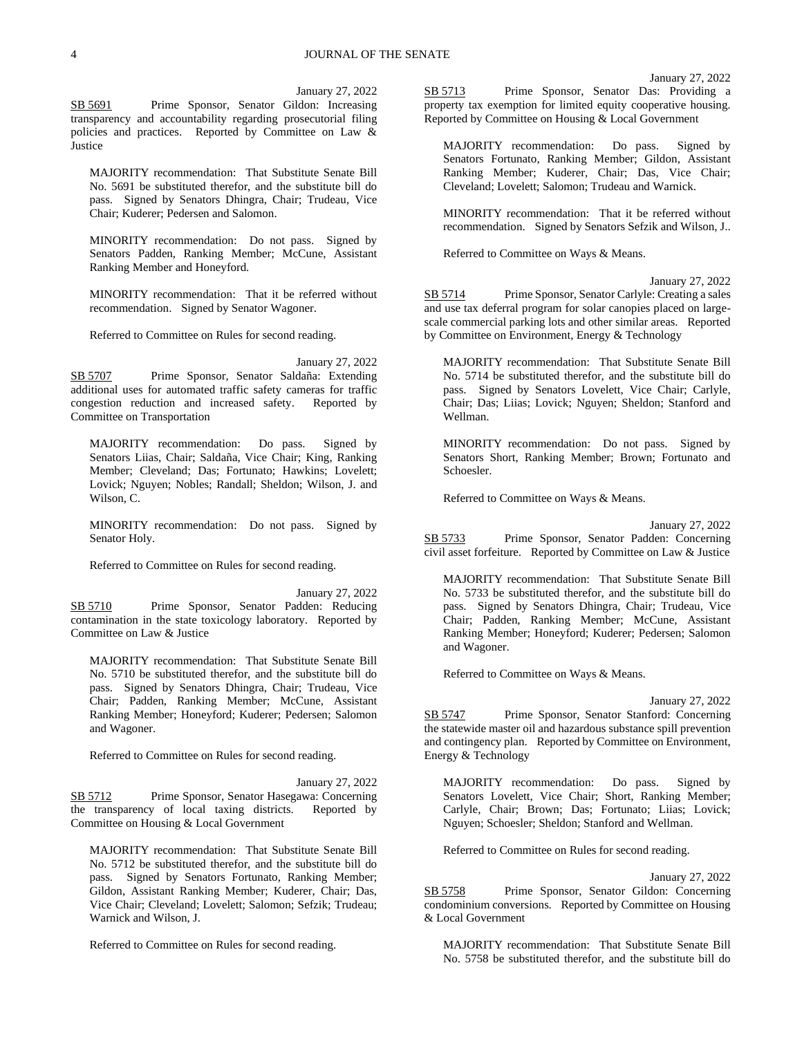## January 27, 2022

January 27, 2022

SB 5691 Prime Sponsor, Senator Gildon: Increasing transparency and accountability regarding prosecutorial filing policies and practices. Reported by Committee on Law & Justice

MAJORITY recommendation: That Substitute Senate Bill No. 5691 be substituted therefor, and the substitute bill do pass. Signed by Senators Dhingra, Chair; Trudeau, Vice Chair; Kuderer; Pedersen and Salomon.

MINORITY recommendation: Do not pass. Signed by Senators Padden, Ranking Member; McCune, Assistant Ranking Member and Honeyford.

MINORITY recommendation: That it be referred without recommendation. Signed by Senator Wagoner.

Referred to Committee on Rules for second reading.

SB 5707 Prime Sponsor, Senator Saldaña: Extending additional uses for automated traffic safety cameras for traffic congestion reduction and increased safety. Reported by Committee on Transportation

MAJORITY recommendation: Do pass. Signed by Senators Liias, Chair; Saldaña, Vice Chair; King, Ranking Member; Cleveland; Das; Fortunato; Hawkins; Lovelett; Lovick; Nguyen; Nobles; Randall; Sheldon; Wilson, J. and Wilson, C.

MINORITY recommendation: Do not pass. Signed by Senator Holy.

Referred to Committee on Rules for second reading.

January 27, 2022 SB 5710 Prime Sponsor, Senator Padden: Reducing contamination in the state toxicology laboratory. Reported by Committee on Law & Justice

MAJORITY recommendation: That Substitute Senate Bill No. 5710 be substituted therefor, and the substitute bill do pass. Signed by Senators Dhingra, Chair; Trudeau, Vice Chair; Padden, Ranking Member; McCune, Assistant Ranking Member; Honeyford; Kuderer; Pedersen; Salomon and Wagoner.

Referred to Committee on Rules for second reading.

January 27, 2022 SB 5712 Prime Sponsor, Senator Hasegawa: Concerning the transparency of local taxing districts. Reported by Committee on Housing & Local Government

MAJORITY recommendation: That Substitute Senate Bill No. 5712 be substituted therefor, and the substitute bill do pass. Signed by Senators Fortunato, Ranking Member; Gildon, Assistant Ranking Member; Kuderer, Chair; Das, Vice Chair; Cleveland; Lovelett; Salomon; Sefzik; Trudeau; Warnick and Wilson, J.

Referred to Committee on Rules for second reading.

SB 5713 Prime Sponsor, Senator Das: Providing a property tax exemption for limited equity cooperative housing. Reported by Committee on Housing & Local Government

MAJORITY recommendation: Do pass. Signed by Senators Fortunato, Ranking Member; Gildon, Assistant Ranking Member; Kuderer, Chair; Das, Vice Chair; Cleveland; Lovelett; Salomon; Trudeau and Warnick.

MINORITY recommendation: That it be referred without recommendation. Signed by Senators Sefzik and Wilson, J..

Referred to Committee on Ways & Means.

January 27, 2022 SB 5714 Prime Sponsor, Senator Carlyle: Creating a sales and use tax deferral program for solar canopies placed on largescale commercial parking lots and other similar areas. Reported by Committee on Environment, Energy & Technology

MAJORITY recommendation: That Substitute Senate Bill No. 5714 be substituted therefor, and the substitute bill do pass. Signed by Senators Lovelett, Vice Chair; Carlyle, Chair; Das; Liias; Lovick; Nguyen; Sheldon; Stanford and Wellman.

MINORITY recommendation: Do not pass. Signed by Senators Short, Ranking Member; Brown; Fortunato and Schoesler.

Referred to Committee on Ways & Means.

January 27, 2022 SB 5733 Prime Sponsor, Senator Padden: Concerning civil asset forfeiture. Reported by Committee on Law & Justice

MAJORITY recommendation: That Substitute Senate Bill No. 5733 be substituted therefor, and the substitute bill do pass. Signed by Senators Dhingra, Chair; Trudeau, Vice Chair; Padden, Ranking Member; McCune, Assistant Ranking Member; Honeyford; Kuderer; Pedersen; Salomon and Wagoner.

Referred to Committee on Ways & Means.

January 27, 2022

SB 5747 Prime Sponsor, Senator Stanford: Concerning the statewide master oil and hazardous substance spill prevention and contingency plan. Reported by Committee on Environment, Energy & Technology

MAJORITY recommendation: Do pass. Signed by Senators Lovelett, Vice Chair; Short, Ranking Member; Carlyle, Chair; Brown; Das; Fortunato; Liias; Lovick; Nguyen; Schoesler; Sheldon; Stanford and Wellman.

Referred to Committee on Rules for second reading.

January 27, 2022 SB 5758 Prime Sponsor, Senator Gildon: Concerning condominium conversions. Reported by Committee on Housing & Local Government

MAJORITY recommendation: That Substitute Senate Bill No. 5758 be substituted therefor, and the substitute bill do

January 27, 2022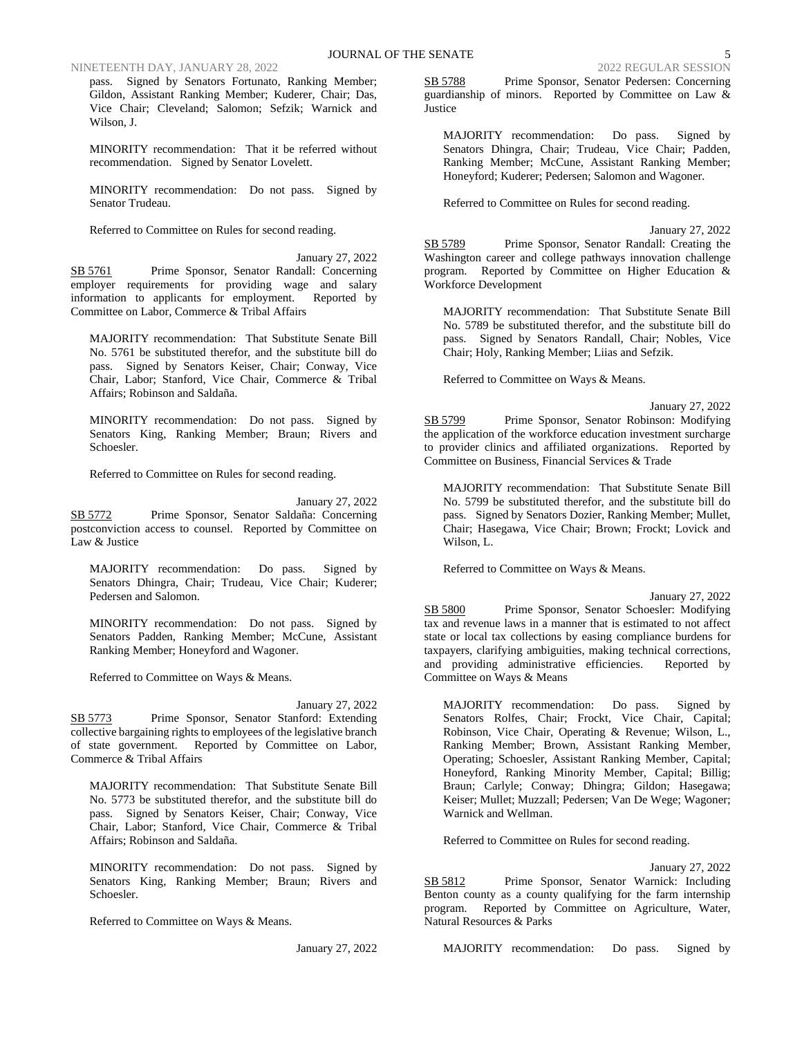pass. Signed by Senators Fortunato, Ranking Member; Gildon, Assistant Ranking Member; Kuderer, Chair; Das, Vice Chair; Cleveland; Salomon; Sefzik; Warnick and Wilson, J.

MINORITY recommendation: That it be referred without recommendation. Signed by Senator Lovelett.

MINORITY recommendation: Do not pass. Signed by Senator Trudeau.

Referred to Committee on Rules for second reading.

January 27, 2022 SB 5761 Prime Sponsor, Senator Randall: Concerning employer requirements for providing wage and salary information to applicants for employment. Reported by Committee on Labor, Commerce & Tribal Affairs

MAJORITY recommendation: That Substitute Senate Bill No. 5761 be substituted therefor, and the substitute bill do pass. Signed by Senators Keiser, Chair; Conway, Vice Chair, Labor; Stanford, Vice Chair, Commerce & Tribal Affairs; Robinson and Saldaña.

MINORITY recommendation: Do not pass. Signed by Senators King, Ranking Member; Braun; Rivers and Schoesler.

Referred to Committee on Rules for second reading.

January 27, 2022 SB 5772 Prime Sponsor, Senator Saldaña: Concerning postconviction access to counsel. Reported by Committee on Law & Justice

MAJORITY recommendation: Do pass. Signed by Senators Dhingra, Chair; Trudeau, Vice Chair; Kuderer; Pedersen and Salomon.

MINORITY recommendation: Do not pass. Signed by Senators Padden, Ranking Member; McCune, Assistant Ranking Member; Honeyford and Wagoner.

Referred to Committee on Ways & Means.

January 27, 2022 SB 5773 Prime Sponsor, Senator Stanford: Extending collective bargaining rights to employees of the legislative branch of state government. Reported by Committee on Labor, Commerce & Tribal Affairs

MAJORITY recommendation: That Substitute Senate Bill No. 5773 be substituted therefor, and the substitute bill do pass. Signed by Senators Keiser, Chair; Conway, Vice Chair, Labor; Stanford, Vice Chair, Commerce & Tribal Affairs; Robinson and Saldaña.

MINORITY recommendation: Do not pass. Signed by Senators King, Ranking Member; Braun; Rivers and Schoesler.

Referred to Committee on Ways & Means.

January 27, 2022

SB 5788 Prime Sponsor, Senator Pedersen: Concerning guardianship of minors. Reported by Committee on Law & **Justice** 

MAJORITY recommendation: Do pass. Signed by Senators Dhingra, Chair; Trudeau, Vice Chair; Padden, Ranking Member; McCune, Assistant Ranking Member; Honeyford; Kuderer; Pedersen; Salomon and Wagoner.

Referred to Committee on Rules for second reading.

January 27, 2022 SB 5789 Prime Sponsor, Senator Randall: Creating the Washington career and college pathways innovation challenge program. Reported by Committee on Higher Education & Workforce Development

MAJORITY recommendation: That Substitute Senate Bill No. 5789 be substituted therefor, and the substitute bill do pass. Signed by Senators Randall, Chair; Nobles, Vice Chair; Holy, Ranking Member; Liias and Sefzik.

Referred to Committee on Ways & Means.

January 27, 2022 SB 5799 Prime Sponsor, Senator Robinson: Modifying the application of the workforce education investment surcharge to provider clinics and affiliated organizations. Reported by Committee on Business, Financial Services & Trade

MAJORITY recommendation: That Substitute Senate Bill No. 5799 be substituted therefor, and the substitute bill do pass. Signed by Senators Dozier, Ranking Member; Mullet, Chair; Hasegawa, Vice Chair; Brown; Frockt; Lovick and Wilson, L.

Referred to Committee on Ways & Means.

January 27, 2022 SB 5800 Prime Sponsor, Senator Schoesler: Modifying tax and revenue laws in a manner that is estimated to not affect state or local tax collections by easing compliance burdens for taxpayers, clarifying ambiguities, making technical corrections, and providing administrative efficiencies. Reported by Committee on Ways & Means

MAJORITY recommendation: Do pass. Signed by Senators Rolfes, Chair; Frockt, Vice Chair, Capital; Robinson, Vice Chair, Operating & Revenue; Wilson, L., Ranking Member; Brown, Assistant Ranking Member, Operating; Schoesler, Assistant Ranking Member, Capital; Honeyford, Ranking Minority Member, Capital; Billig; Braun; Carlyle; Conway; Dhingra; Gildon; Hasegawa; Keiser; Mullet; Muzzall; Pedersen; Van De Wege; Wagoner; Warnick and Wellman.

Referred to Committee on Rules for second reading.

January 27, 2022

SB 5812 Prime Sponsor, Senator Warnick: Including Benton county as a county qualifying for the farm internship program. Reported by Committee on Agriculture, Water, Natural Resources & Parks

MAJORITY recommendation: Do pass. Signed by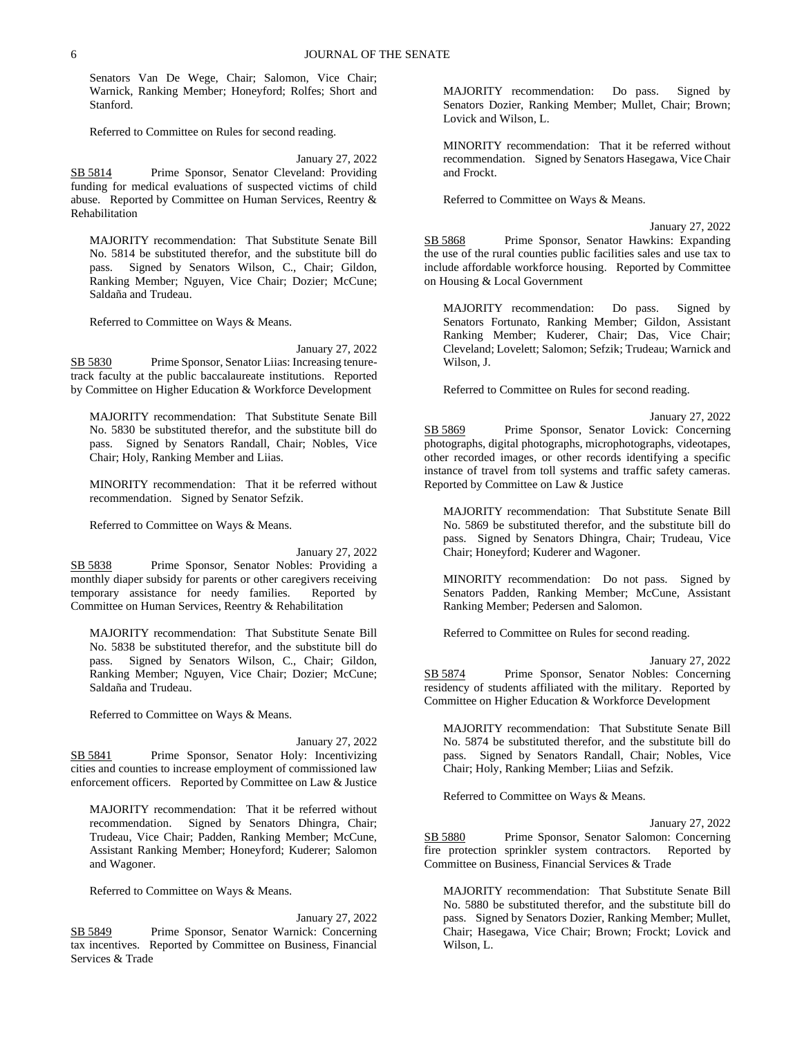Senators Van De Wege, Chair; Salomon, Vice Chair; Warnick, Ranking Member; Honeyford; Rolfes; Short and Stanford.

Referred to Committee on Rules for second reading.

January 27, 2022 SB 5814 Prime Sponsor, Senator Cleveland: Providing funding for medical evaluations of suspected victims of child abuse. Reported by Committee on Human Services, Reentry & Rehabilitation

MAJORITY recommendation: That Substitute Senate Bill No. 5814 be substituted therefor, and the substitute bill do pass. Signed by Senators Wilson, C., Chair; Gildon, Ranking Member; Nguyen, Vice Chair; Dozier; McCune; Saldaña and Trudeau.

Referred to Committee on Ways & Means.

January 27, 2022

SB 5830 Prime Sponsor, Senator Liias: Increasing tenuretrack faculty at the public baccalaureate institutions. Reported by Committee on Higher Education & Workforce Development

MAJORITY recommendation: That Substitute Senate Bill No. 5830 be substituted therefor, and the substitute bill do pass. Signed by Senators Randall, Chair; Nobles, Vice Chair; Holy, Ranking Member and Liias.

MINORITY recommendation: That it be referred without recommendation. Signed by Senator Sefzik.

Referred to Committee on Ways & Means.

January 27, 2022

SB 5838 Prime Sponsor, Senator Nobles: Providing a monthly diaper subsidy for parents or other caregivers receiving temporary assistance for needy families. Reported by Committee on Human Services, Reentry & Rehabilitation

MAJORITY recommendation: That Substitute Senate Bill No. 5838 be substituted therefor, and the substitute bill do pass. Signed by Senators Wilson, C., Chair; Gildon, Ranking Member; Nguyen, Vice Chair; Dozier; McCune; Saldaña and Trudeau.

Referred to Committee on Ways & Means.

January 27, 2022 SB 5841 Prime Sponsor, Senator Holy: Incentivizing cities and counties to increase employment of commissioned law enforcement officers. Reported by Committee on Law & Justice

MAJORITY recommendation: That it be referred without recommendation. Signed by Senators Dhingra, Chair; Trudeau, Vice Chair; Padden, Ranking Member; McCune, Assistant Ranking Member; Honeyford; Kuderer; Salomon and Wagoner.

Referred to Committee on Ways & Means.

January 27, 2022 SB 5849 Prime Sponsor, Senator Warnick: Concerning tax incentives. Reported by Committee on Business, Financial Services & Trade

MAJORITY recommendation: Do pass. Signed by Senators Dozier, Ranking Member; Mullet, Chair; Brown; Lovick and Wilson, L.

MINORITY recommendation: That it be referred without recommendation. Signed by Senators Hasegawa, Vice Chair and Frockt.

Referred to Committee on Ways & Means.

January 27, 2022 SB 5868 Prime Sponsor, Senator Hawkins: Expanding the use of the rural counties public facilities sales and use tax to include affordable workforce housing. Reported by Committee on Housing & Local Government

MAJORITY recommendation: Do pass. Signed by Senators Fortunato, Ranking Member; Gildon, Assistant Ranking Member; Kuderer, Chair; Das, Vice Chair; Cleveland; Lovelett; Salomon; Sefzik; Trudeau; Warnick and Wilson, J.

Referred to Committee on Rules for second reading.

January 27, 2022 SB 5869 Prime Sponsor, Senator Lovick: Concerning photographs, digital photographs, microphotographs, videotapes, other recorded images, or other records identifying a specific instance of travel from toll systems and traffic safety cameras. Reported by Committee on Law & Justice

MAJORITY recommendation: That Substitute Senate Bill No. 5869 be substituted therefor, and the substitute bill do pass. Signed by Senators Dhingra, Chair; Trudeau, Vice Chair; Honeyford; Kuderer and Wagoner.

MINORITY recommendation: Do not pass. Signed by Senators Padden, Ranking Member; McCune, Assistant Ranking Member; Pedersen and Salomon.

Referred to Committee on Rules for second reading.

January 27, 2022

SB 5874 Prime Sponsor, Senator Nobles: Concerning residency of students affiliated with the military. Reported by Committee on Higher Education & Workforce Development

MAJORITY recommendation: That Substitute Senate Bill No. 5874 be substituted therefor, and the substitute bill do pass. Signed by Senators Randall, Chair; Nobles, Vice Chair; Holy, Ranking Member; Liias and Sefzik.

Referred to Committee on Ways & Means.

January 27, 2022

SB 5880 Prime Sponsor, Senator Salomon: Concerning fire protection sprinkler system contractors. Reported by Committee on Business, Financial Services & Trade

MAJORITY recommendation: That Substitute Senate Bill No. 5880 be substituted therefor, and the substitute bill do pass. Signed by Senators Dozier, Ranking Member; Mullet, Chair; Hasegawa, Vice Chair; Brown; Frockt; Lovick and Wilson, L.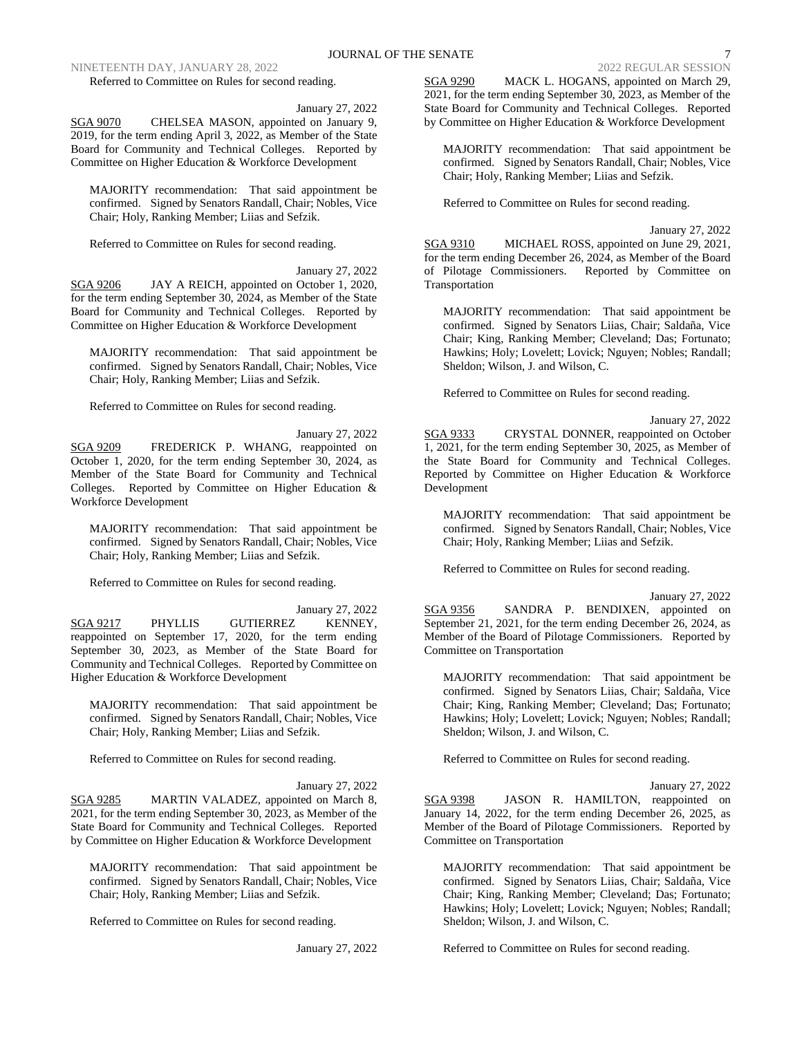Referred to Committee on Rules for second reading.

January 27, 2022

SGA 9070 CHELSEA MASON, appointed on January 9, 2019, for the term ending April 3, 2022, as Member of the State Board for Community and Technical Colleges. Reported by Committee on Higher Education & Workforce Development

MAJORITY recommendation: That said appointment be confirmed. Signed by Senators Randall, Chair; Nobles, Vice Chair; Holy, Ranking Member; Liias and Sefzik.

Referred to Committee on Rules for second reading.

January 27, 2022

SGA 9206 JAY A REICH, appointed on October 1, 2020, for the term ending September 30, 2024, as Member of the State Board for Community and Technical Colleges. Reported by Committee on Higher Education & Workforce Development

MAJORITY recommendation: That said appointment be confirmed. Signed by Senators Randall, Chair; Nobles, Vice Chair; Holy, Ranking Member; Liias and Sefzik.

Referred to Committee on Rules for second reading.

January 27, 2022 SGA 9209 FREDERICK P. WHANG, reappointed on October 1, 2020, for the term ending September 30, 2024, as Member of the State Board for Community and Technical Colleges. Reported by Committee on Higher Education & Workforce Development

MAJORITY recommendation: That said appointment be confirmed. Signed by Senators Randall, Chair; Nobles, Vice Chair; Holy, Ranking Member; Liias and Sefzik.

Referred to Committee on Rules for second reading.

January 27, 2022 SGA 9217 PHYLLIS GUTIERREZ KENNEY, reappointed on September 17, 2020, for the term ending September 30, 2023, as Member of the State Board for Community and Technical Colleges. Reported by Committee on Higher Education & Workforce Development

MAJORITY recommendation: That said appointment be confirmed. Signed by Senators Randall, Chair; Nobles, Vice Chair; Holy, Ranking Member; Liias and Sefzik.

Referred to Committee on Rules for second reading.

January 27, 2022 SGA 9285 MARTIN VALADEZ, appointed on March 8, 2021, for the term ending September 30, 2023, as Member of the State Board for Community and Technical Colleges. Reported by Committee on Higher Education & Workforce Development

MAJORITY recommendation: That said appointment be confirmed. Signed by Senators Randall, Chair; Nobles, Vice Chair; Holy, Ranking Member; Liias and Sefzik.

Referred to Committee on Rules for second reading.

January 27, 2022

SGA 9290 MACK L. HOGANS, appointed on March 29, 2021, for the term ending September 30, 2023, as Member of the State Board for Community and Technical Colleges. Reported by Committee on Higher Education & Workforce Development

MAJORITY recommendation: That said appointment be confirmed. Signed by Senators Randall, Chair; Nobles, Vice Chair; Holy, Ranking Member; Liias and Sefzik.

Referred to Committee on Rules for second reading.

January 27, 2022 SGA 9310 MICHAEL ROSS, appointed on June 29, 2021, for the term ending December 26, 2024, as Member of the Board of Pilotage Commissioners. Reported by Committee on Transportation

MAJORITY recommendation: That said appointment be confirmed. Signed by Senators Liias, Chair; Saldaña, Vice Chair; King, Ranking Member; Cleveland; Das; Fortunato; Hawkins; Holy; Lovelett; Lovick; Nguyen; Nobles; Randall; Sheldon; Wilson, J. and Wilson, C.

Referred to Committee on Rules for second reading.

January 27, 2022 SGA 9333 CRYSTAL DONNER, reappointed on October 1, 2021, for the term ending September 30, 2025, as Member of the State Board for Community and Technical Colleges. Reported by Committee on Higher Education & Workforce Development

MAJORITY recommendation: That said appointment be confirmed. Signed by Senators Randall, Chair; Nobles, Vice Chair; Holy, Ranking Member; Liias and Sefzik.

Referred to Committee on Rules for second reading.

January 27, 2022

SGA 9356 SANDRA P. BENDIXEN, appointed on September 21, 2021, for the term ending December 26, 2024, as Member of the Board of Pilotage Commissioners. Reported by Committee on Transportation

MAJORITY recommendation: That said appointment be confirmed. Signed by Senators Liias, Chair; Saldaña, Vice Chair; King, Ranking Member; Cleveland; Das; Fortunato; Hawkins; Holy; Lovelett; Lovick; Nguyen; Nobles; Randall; Sheldon; Wilson, J. and Wilson, C.

Referred to Committee on Rules for second reading.

January 27, 2022

SGA 9398 JASON R. HAMILTON, reappointed on January 14, 2022, for the term ending December 26, 2025, as Member of the Board of Pilotage Commissioners. Reported by Committee on Transportation

MAJORITY recommendation: That said appointment be confirmed. Signed by Senators Liias, Chair; Saldaña, Vice Chair; King, Ranking Member; Cleveland; Das; Fortunato; Hawkins; Holy; Lovelett; Lovick; Nguyen; Nobles; Randall; Sheldon; Wilson, J. and Wilson, C.

Referred to Committee on Rules for second reading.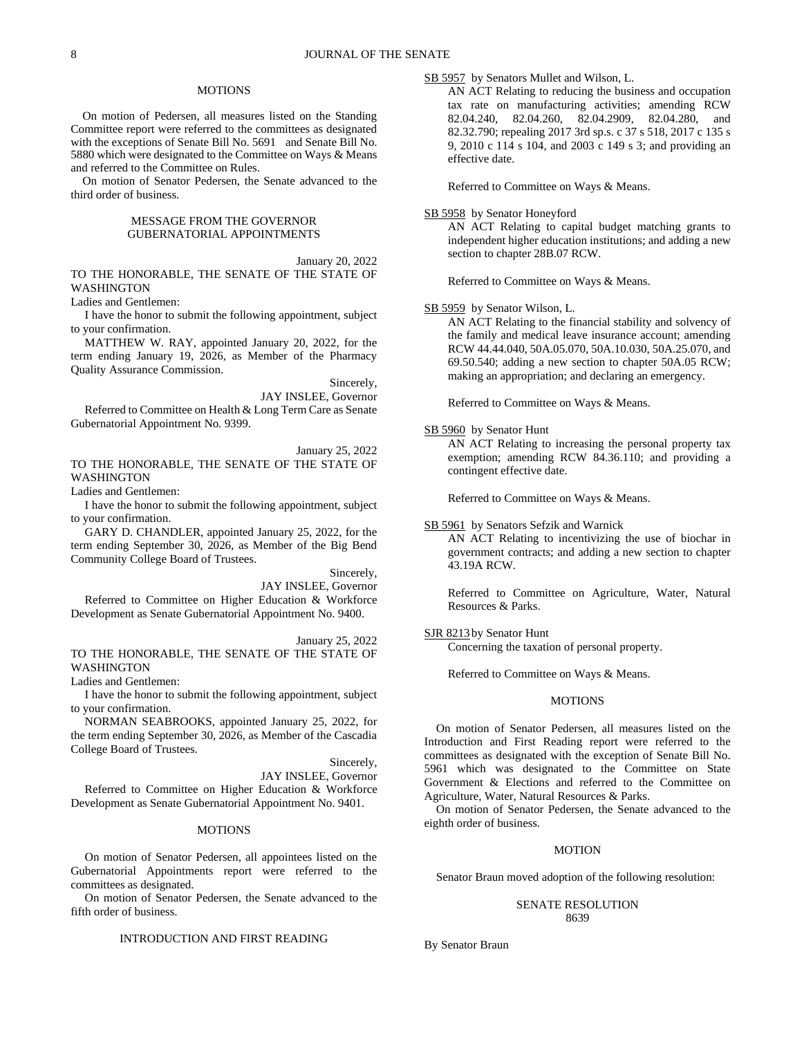## **MOTIONS**

On motion of Pedersen, all measures listed on the Standing Committee report were referred to the committees as designated with the exceptions of Senate Bill No. 5691 and Senate Bill No. 5880 which were designated to the Committee on Ways & Means and referred to the Committee on Rules.

On motion of Senator Pedersen, the Senate advanced to the third order of business.

## MESSAGE FROM THE GOVERNOR GUBERNATORIAL APPOINTMENTS

January 20, 2022 TO THE HONORABLE, THE SENATE OF THE STATE OF WASHINGTON

Ladies and Gentlemen:

I have the honor to submit the following appointment, subject to your confirmation.

MATTHEW W. RAY, appointed January 20, 2022, for the term ending January 19, 2026, as Member of the Pharmacy Quality Assurance Commission.

Sincerely,

JAY INSLEE, Governor Referred to Committee on Health & Long Term Care as Senate Gubernatorial Appointment No. 9399.

January 25, 2022 TO THE HONORABLE, THE SENATE OF THE STATE OF WASHINGTON

Ladies and Gentlemen:

I have the honor to submit the following appointment, subject to your confirmation.

GARY D. CHANDLER, appointed January 25, 2022, for the term ending September 30, 2026, as Member of the Big Bend Community College Board of Trustees.

Sincerely,

JAY INSLEE, Governor

Referred to Committee on Higher Education & Workforce Development as Senate Gubernatorial Appointment No. 9400.

January 25, 2022 TO THE HONORABLE, THE SENATE OF THE STATE OF WASHINGTON

Ladies and Gentlemen:

I have the honor to submit the following appointment, subject to your confirmation.

NORMAN SEABROOKS, appointed January 25, 2022, for the term ending September 30, 2026, as Member of the Cascadia College Board of Trustees.

Sincerely,

JAY INSLEE, Governor Referred to Committee on Higher Education & Workforce Development as Senate Gubernatorial Appointment No. 9401.

#### **MOTIONS**

On motion of Senator Pedersen, all appointees listed on the Gubernatorial Appointments report were referred to the committees as designated.

On motion of Senator Pedersen, the Senate advanced to the fifth order of business.

# INTRODUCTION AND FIRST READING

SB 5957 by Senators Mullet and Wilson, L.

AN ACT Relating to reducing the business and occupation tax rate on manufacturing activities; amending RCW 82.04.240, 82.04.260, 82.04.2909, 82.04.280, and 82.32.790; repealing 2017 3rd sp.s. c 37 s 518, 2017 c 135 s 9, 2010 c 114 s 104, and 2003 c 149 s 3; and providing an effective date.

Referred to Committee on Ways & Means.

### SB 5958 by Senator Honeyford

AN ACT Relating to capital budget matching grants to independent higher education institutions; and adding a new section to chapter 28B.07 RCW.

Referred to Committee on Ways & Means.

SB 5959 by Senator Wilson, L.

AN ACT Relating to the financial stability and solvency of the family and medical leave insurance account; amending RCW 44.44.040, 50A.05.070, 50A.10.030, 50A.25.070, and 69.50.540; adding a new section to chapter 50A.05 RCW; making an appropriation; and declaring an emergency.

Referred to Committee on Ways & Means.

### SB 5960 by Senator Hunt

AN ACT Relating to increasing the personal property tax exemption; amending RCW 84.36.110; and providing a contingent effective date.

Referred to Committee on Ways & Means.

# SB 5961 by Senators Sefzik and Warnick

AN ACT Relating to incentivizing the use of biochar in government contracts; and adding a new section to chapter 43.19A RCW.

Referred to Committee on Agriculture, Water, Natural Resources & Parks.

### SJR 8213 by Senator Hunt

Concerning the taxation of personal property.

Referred to Committee on Ways & Means.

#### MOTIONS

On motion of Senator Pedersen, all measures listed on the Introduction and First Reading report were referred to the committees as designated with the exception of Senate Bill No. 5961 which was designated to the Committee on State Government & Elections and referred to the Committee on Agriculture, Water, Natural Resources & Parks.

On motion of Senator Pedersen, the Senate advanced to the eighth order of business.

#### MOTION

Senator Braun moved adoption of the following resolution:

## SENATE RESOLUTION 8639

By Senator Braun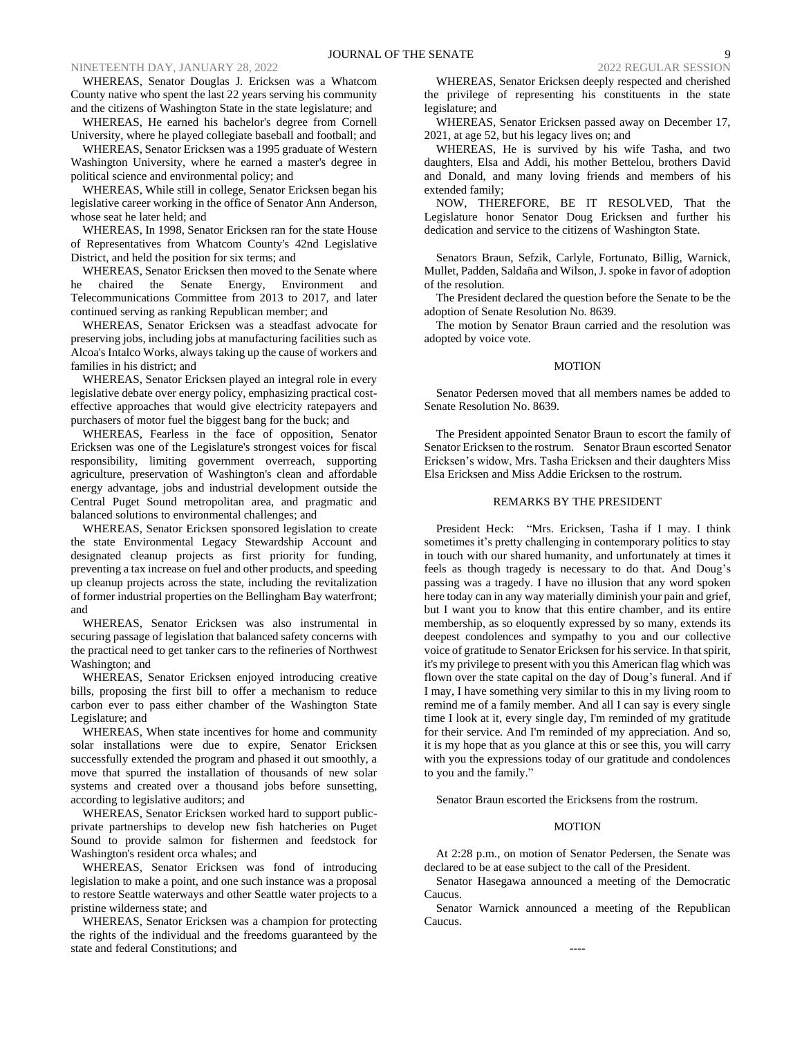WHEREAS, Senator Douglas J. Ericksen was a Whatcom County native who spent the last 22 years serving his community and the citizens of Washington State in the state legislature; and

WHEREAS, He earned his bachelor's degree from Cornell University, where he played collegiate baseball and football; and

WHEREAS, Senator Ericksen was a 1995 graduate of Western Washington University, where he earned a master's degree in political science and environmental policy; and

WHEREAS, While still in college, Senator Ericksen began his legislative career working in the office of Senator Ann Anderson, whose seat he later held; and

WHEREAS, In 1998, Senator Ericksen ran for the state House of Representatives from Whatcom County's 42nd Legislative District, and held the position for six terms; and

WHEREAS, Senator Ericksen then moved to the Senate where he chaired the Senate Energy, Environment and Telecommunications Committee from 2013 to 2017, and later continued serving as ranking Republican member; and

WHEREAS, Senator Ericksen was a steadfast advocate for preserving jobs, including jobs at manufacturing facilities such as Alcoa's Intalco Works, always taking up the cause of workers and families in his district; and

WHEREAS, Senator Ericksen played an integral role in every legislative debate over energy policy, emphasizing practical costeffective approaches that would give electricity ratepayers and purchasers of motor fuel the biggest bang for the buck; and

WHEREAS, Fearless in the face of opposition, Senator Ericksen was one of the Legislature's strongest voices for fiscal responsibility, limiting government overreach, supporting agriculture, preservation of Washington's clean and affordable energy advantage, jobs and industrial development outside the Central Puget Sound metropolitan area, and pragmatic and balanced solutions to environmental challenges; and

WHEREAS, Senator Ericksen sponsored legislation to create the state Environmental Legacy Stewardship Account and designated cleanup projects as first priority for funding, preventing a tax increase on fuel and other products, and speeding up cleanup projects across the state, including the revitalization of former industrial properties on the Bellingham Bay waterfront; and

WHEREAS, Senator Ericksen was also instrumental in securing passage of legislation that balanced safety concerns with the practical need to get tanker cars to the refineries of Northwest Washington; and

WHEREAS, Senator Ericksen enjoyed introducing creative bills, proposing the first bill to offer a mechanism to reduce carbon ever to pass either chamber of the Washington State Legislature; and

WHEREAS, When state incentives for home and community solar installations were due to expire, Senator Ericksen successfully extended the program and phased it out smoothly, a move that spurred the installation of thousands of new solar systems and created over a thousand jobs before sunsetting, according to legislative auditors; and

WHEREAS, Senator Ericksen worked hard to support publicprivate partnerships to develop new fish hatcheries on Puget Sound to provide salmon for fishermen and feedstock for Washington's resident orca whales; and

WHEREAS, Senator Ericksen was fond of introducing legislation to make a point, and one such instance was a proposal to restore Seattle waterways and other Seattle water projects to a pristine wilderness state; and

WHEREAS, Senator Ericksen was a champion for protecting the rights of the individual and the freedoms guaranteed by the state and federal Constitutions; and

WHEREAS, Senator Ericksen deeply respected and cherished the privilege of representing his constituents in the state legislature; and

WHEREAS, Senator Ericksen passed away on December 17, 2021, at age 52, but his legacy lives on; and

WHEREAS, He is survived by his wife Tasha, and two daughters, Elsa and Addi, his mother Bettelou, brothers David and Donald, and many loving friends and members of his extended family;

NOW, THEREFORE, BE IT RESOLVED, That the Legislature honor Senator Doug Ericksen and further his dedication and service to the citizens of Washington State.

Senators Braun, Sefzik, Carlyle, Fortunato, Billig, Warnick, Mullet, Padden, Saldaña and Wilson, J. spoke in favor of adoption of the resolution.

The President declared the question before the Senate to be the adoption of Senate Resolution No. 8639.

The motion by Senator Braun carried and the resolution was adopted by voice vote.

## MOTION

Senator Pedersen moved that all members names be added to Senate Resolution No. 8639.

The President appointed Senator Braun to escort the family of Senator Ericksen to the rostrum. Senator Braun escorted Senator Ericksen's widow, Mrs. Tasha Ericksen and their daughters Miss Elsa Ericksen and Miss Addie Ericksen to the rostrum.

## REMARKS BY THE PRESIDENT

President Heck: "Mrs. Ericksen, Tasha if I may. I think sometimes it's pretty challenging in contemporary politics to stay in touch with our shared humanity, and unfortunately at times it feels as though tragedy is necessary to do that. And Doug's passing was a tragedy. I have no illusion that any word spoken here today can in any way materially diminish your pain and grief, but I want you to know that this entire chamber, and its entire membership, as so eloquently expressed by so many, extends its deepest condolences and sympathy to you and our collective voice of gratitude to Senator Ericksen for his service. In that spirit, it's my privilege to present with you this American flag which was flown over the state capital on the day of Doug's funeral. And if I may, I have something very similar to this in my living room to remind me of a family member. And all I can say is every single time I look at it, every single day, I'm reminded of my gratitude for their service. And I'm reminded of my appreciation. And so, it is my hope that as you glance at this or see this, you will carry with you the expressions today of our gratitude and condolences to you and the family."

Senator Braun escorted the Ericksens from the rostrum.

## MOTION

At 2:28 p.m., on motion of Senator Pedersen, the Senate was declared to be at ease subject to the call of the President.

Senator Hasegawa announced a meeting of the Democratic Caucus.

Senator Warnick announced a meeting of the Republican Caucus.

----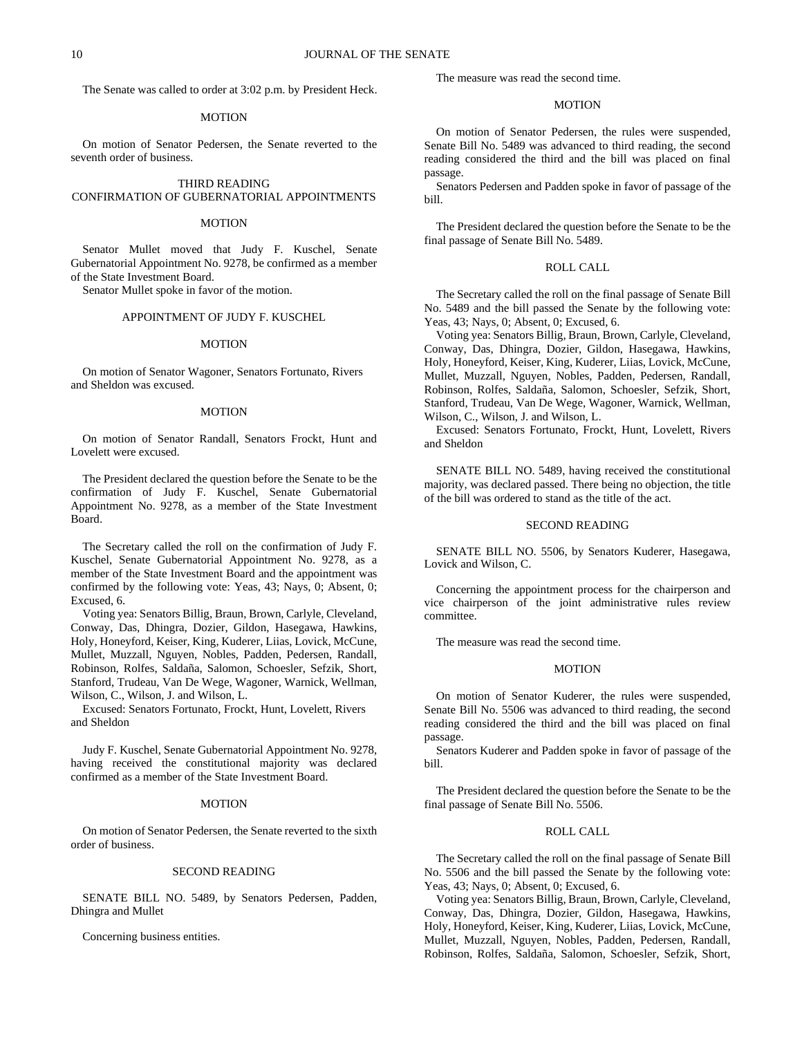The Senate was called to order at 3:02 p.m. by President Heck.

#### MOTION

On motion of Senator Pedersen, the Senate reverted to the seventh order of business.

## THIRD READING CONFIRMATION OF GUBERNATORIAL APPOINTMENTS

#### **MOTION**

Senator Mullet moved that Judy F. Kuschel, Senate Gubernatorial Appointment No. 9278, be confirmed as a member of the State Investment Board.

Senator Mullet spoke in favor of the motion.

## APPOINTMENT OF JUDY F. KUSCHEL

### MOTION

On motion of Senator Wagoner, Senators Fortunato, Rivers and Sheldon was excused.

### MOTION

On motion of Senator Randall, Senators Frockt, Hunt and Lovelett were excused.

The President declared the question before the Senate to be the confirmation of Judy F. Kuschel, Senate Gubernatorial Appointment No. 9278, as a member of the State Investment Board.

The Secretary called the roll on the confirmation of Judy F. Kuschel, Senate Gubernatorial Appointment No. 9278, as a member of the State Investment Board and the appointment was confirmed by the following vote: Yeas, 43; Nays, 0; Absent, 0; Excused, 6.

Voting yea: Senators Billig, Braun, Brown, Carlyle, Cleveland, Conway, Das, Dhingra, Dozier, Gildon, Hasegawa, Hawkins, Holy, Honeyford, Keiser, King, Kuderer, Liias, Lovick, McCune, Mullet, Muzzall, Nguyen, Nobles, Padden, Pedersen, Randall, Robinson, Rolfes, Saldaña, Salomon, Schoesler, Sefzik, Short, Stanford, Trudeau, Van De Wege, Wagoner, Warnick, Wellman, Wilson, C., Wilson, J. and Wilson, L.

Excused: Senators Fortunato, Frockt, Hunt, Lovelett, Rivers and Sheldon

Judy F. Kuschel, Senate Gubernatorial Appointment No. 9278, having received the constitutional majority was declared confirmed as a member of the State Investment Board.

#### MOTION

On motion of Senator Pedersen, the Senate reverted to the sixth order of business.

## SECOND READING

SENATE BILL NO. 5489, by Senators Pedersen, Padden, Dhingra and Mullet

Concerning business entities.

The measure was read the second time.

# MOTION

On motion of Senator Pedersen, the rules were suspended, Senate Bill No. 5489 was advanced to third reading, the second reading considered the third and the bill was placed on final passage.

Senators Pedersen and Padden spoke in favor of passage of the bill.

The President declared the question before the Senate to be the final passage of Senate Bill No. 5489.

## ROLL CALL

The Secretary called the roll on the final passage of Senate Bill No. 5489 and the bill passed the Senate by the following vote: Yeas, 43; Nays, 0; Absent, 0; Excused, 6.

Voting yea: Senators Billig, Braun, Brown, Carlyle, Cleveland, Conway, Das, Dhingra, Dozier, Gildon, Hasegawa, Hawkins, Holy, Honeyford, Keiser, King, Kuderer, Liias, Lovick, McCune, Mullet, Muzzall, Nguyen, Nobles, Padden, Pedersen, Randall, Robinson, Rolfes, Saldaña, Salomon, Schoesler, Sefzik, Short, Stanford, Trudeau, Van De Wege, Wagoner, Warnick, Wellman, Wilson, C., Wilson, J. and Wilson, L.

Excused: Senators Fortunato, Frockt, Hunt, Lovelett, Rivers and Sheldon

SENATE BILL NO. 5489, having received the constitutional majority, was declared passed. There being no objection, the title of the bill was ordered to stand as the title of the act.

### SECOND READING

SENATE BILL NO. 5506, by Senators Kuderer, Hasegawa, Lovick and Wilson, C.

Concerning the appointment process for the chairperson and vice chairperson of the joint administrative rules review committee.

The measure was read the second time.

### MOTION

On motion of Senator Kuderer, the rules were suspended, Senate Bill No. 5506 was advanced to third reading, the second reading considered the third and the bill was placed on final passage.

Senators Kuderer and Padden spoke in favor of passage of the bill.

The President declared the question before the Senate to be the final passage of Senate Bill No. 5506.

#### ROLL CALL

The Secretary called the roll on the final passage of Senate Bill No. 5506 and the bill passed the Senate by the following vote: Yeas, 43; Nays, 0; Absent, 0; Excused, 6.

Voting yea: Senators Billig, Braun, Brown, Carlyle, Cleveland, Conway, Das, Dhingra, Dozier, Gildon, Hasegawa, Hawkins, Holy, Honeyford, Keiser, King, Kuderer, Liias, Lovick, McCune, Mullet, Muzzall, Nguyen, Nobles, Padden, Pedersen, Randall, Robinson, Rolfes, Saldaña, Salomon, Schoesler, Sefzik, Short,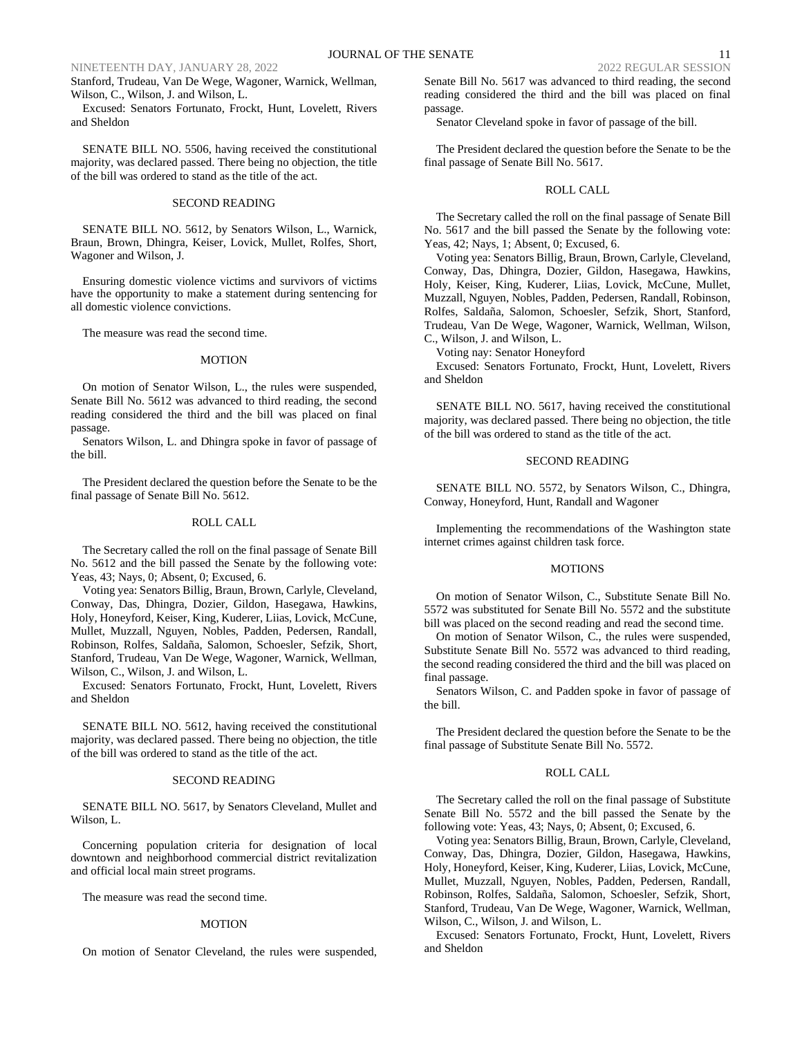## NINETEENTH DAY, JANUARY 28, 2022

Stanford, Trudeau, Van De Wege, Wagoner, Warnick, Wellman, Wilson, C., Wilson, J. and Wilson, L.

Excused: Senators Fortunato, Frockt, Hunt, Lovelett, Rivers and Sheldon

SENATE BILL NO. 5506, having received the constitutional majority, was declared passed. There being no objection, the title of the bill was ordered to stand as the title of the act.

## SECOND READING

SENATE BILL NO. 5612, by Senators Wilson, L., Warnick, Braun, Brown, Dhingra, Keiser, Lovick, Mullet, Rolfes, Short, Wagoner and Wilson, J.

Ensuring domestic violence victims and survivors of victims have the opportunity to make a statement during sentencing for all domestic violence convictions.

The measure was read the second time.

## MOTION

On motion of Senator Wilson, L., the rules were suspended, Senate Bill No. 5612 was advanced to third reading, the second reading considered the third and the bill was placed on final passage.

Senators Wilson, L. and Dhingra spoke in favor of passage of the bill.

The President declared the question before the Senate to be the final passage of Senate Bill No. 5612.

### ROLL CALL

The Secretary called the roll on the final passage of Senate Bill No. 5612 and the bill passed the Senate by the following vote: Yeas, 43; Nays, 0; Absent, 0; Excused, 6.

Voting yea: Senators Billig, Braun, Brown, Carlyle, Cleveland, Conway, Das, Dhingra, Dozier, Gildon, Hasegawa, Hawkins, Holy, Honeyford, Keiser, King, Kuderer, Liias, Lovick, McCune, Mullet, Muzzall, Nguyen, Nobles, Padden, Pedersen, Randall, Robinson, Rolfes, Saldaña, Salomon, Schoesler, Sefzik, Short, Stanford, Trudeau, Van De Wege, Wagoner, Warnick, Wellman, Wilson, C., Wilson, J. and Wilson, L.

Excused: Senators Fortunato, Frockt, Hunt, Lovelett, Rivers and Sheldon

SENATE BILL NO. 5612, having received the constitutional majority, was declared passed. There being no objection, the title of the bill was ordered to stand as the title of the act.

### SECOND READING

SENATE BILL NO. 5617, by Senators Cleveland, Mullet and Wilson, L.

Concerning population criteria for designation of local downtown and neighborhood commercial district revitalization and official local main street programs.

The measure was read the second time.

## MOTION

On motion of Senator Cleveland, the rules were suspended,

Senate Bill No. 5617 was advanced to third reading, the second reading considered the third and the bill was placed on final passage.

Senator Cleveland spoke in favor of passage of the bill.

The President declared the question before the Senate to be the final passage of Senate Bill No. 5617.

#### ROLL CALL

The Secretary called the roll on the final passage of Senate Bill No. 5617 and the bill passed the Senate by the following vote: Yeas, 42; Nays, 1; Absent, 0; Excused, 6.

Voting yea: Senators Billig, Braun, Brown, Carlyle, Cleveland, Conway, Das, Dhingra, Dozier, Gildon, Hasegawa, Hawkins, Holy, Keiser, King, Kuderer, Liias, Lovick, McCune, Mullet, Muzzall, Nguyen, Nobles, Padden, Pedersen, Randall, Robinson, Rolfes, Saldaña, Salomon, Schoesler, Sefzik, Short, Stanford, Trudeau, Van De Wege, Wagoner, Warnick, Wellman, Wilson, C., Wilson, J. and Wilson, L.

Voting nay: Senator Honeyford

Excused: Senators Fortunato, Frockt, Hunt, Lovelett, Rivers and Sheldon

SENATE BILL NO. 5617, having received the constitutional majority, was declared passed. There being no objection, the title of the bill was ordered to stand as the title of the act.

## SECOND READING

SENATE BILL NO. 5572, by Senators Wilson, C., Dhingra, Conway, Honeyford, Hunt, Randall and Wagoner

Implementing the recommendations of the Washington state internet crimes against children task force.

#### MOTIONS

On motion of Senator Wilson, C., Substitute Senate Bill No. 5572 was substituted for Senate Bill No. 5572 and the substitute bill was placed on the second reading and read the second time.

On motion of Senator Wilson, C., the rules were suspended, Substitute Senate Bill No. 5572 was advanced to third reading, the second reading considered the third and the bill was placed on final passage.

Senators Wilson, C. and Padden spoke in favor of passage of the bill.

The President declared the question before the Senate to be the final passage of Substitute Senate Bill No. 5572.

## ROLL CALL

The Secretary called the roll on the final passage of Substitute Senate Bill No. 5572 and the bill passed the Senate by the following vote: Yeas, 43; Nays, 0; Absent, 0; Excused, 6.

Voting yea: Senators Billig, Braun, Brown, Carlyle, Cleveland, Conway, Das, Dhingra, Dozier, Gildon, Hasegawa, Hawkins, Holy, Honeyford, Keiser, King, Kuderer, Liias, Lovick, McCune, Mullet, Muzzall, Nguyen, Nobles, Padden, Pedersen, Randall, Robinson, Rolfes, Saldaña, Salomon, Schoesler, Sefzik, Short, Stanford, Trudeau, Van De Wege, Wagoner, Warnick, Wellman, Wilson, C., Wilson, J. and Wilson, L.

Excused: Senators Fortunato, Frockt, Hunt, Lovelett, Rivers and Sheldon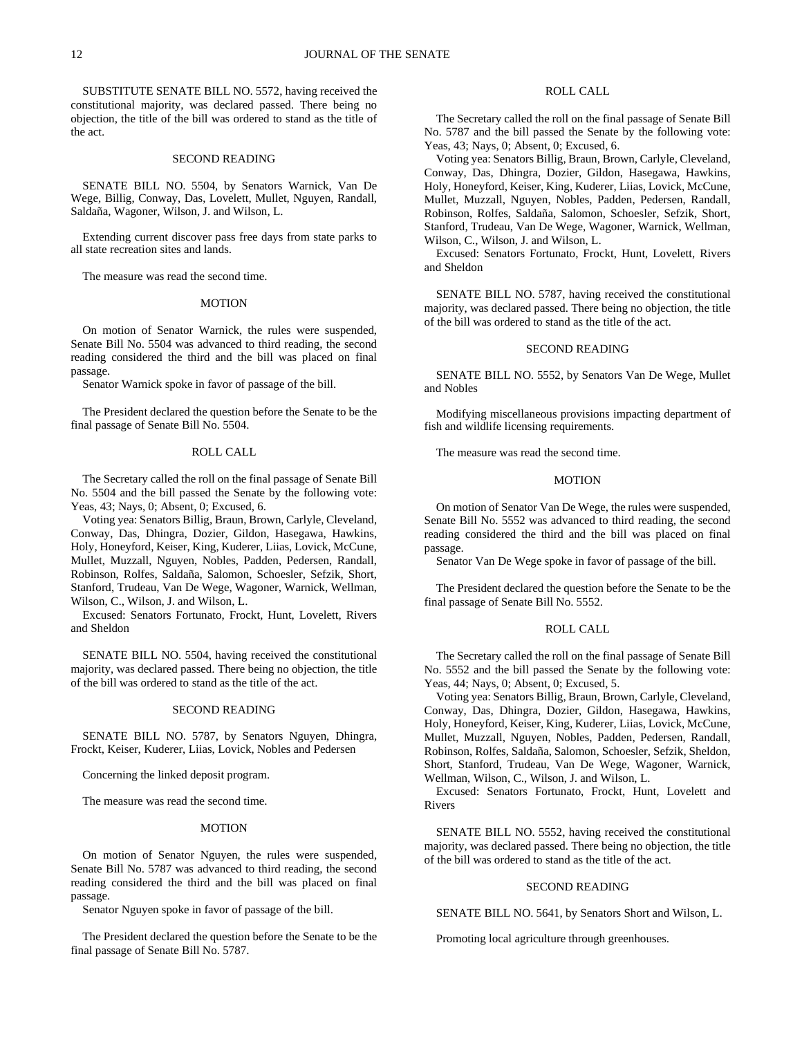SUBSTITUTE SENATE BILL NO. 5572, having received the constitutional majority, was declared passed. There being no objection, the title of the bill was ordered to stand as the title of the act.

## SECOND READING

SENATE BILL NO. 5504, by Senators Warnick, Van De Wege, Billig, Conway, Das, Lovelett, Mullet, Nguyen, Randall, Saldaña, Wagoner, Wilson, J. and Wilson, L.

Extending current discover pass free days from state parks to all state recreation sites and lands.

The measure was read the second time.

#### MOTION

On motion of Senator Warnick, the rules were suspended, Senate Bill No. 5504 was advanced to third reading, the second reading considered the third and the bill was placed on final passage.

Senator Warnick spoke in favor of passage of the bill.

The President declared the question before the Senate to be the final passage of Senate Bill No. 5504.

## ROLL CALL

The Secretary called the roll on the final passage of Senate Bill No. 5504 and the bill passed the Senate by the following vote: Yeas, 43; Nays, 0; Absent, 0; Excused, 6.

Voting yea: Senators Billig, Braun, Brown, Carlyle, Cleveland, Conway, Das, Dhingra, Dozier, Gildon, Hasegawa, Hawkins, Holy, Honeyford, Keiser, King, Kuderer, Liias, Lovick, McCune, Mullet, Muzzall, Nguyen, Nobles, Padden, Pedersen, Randall, Robinson, Rolfes, Saldaña, Salomon, Schoesler, Sefzik, Short, Stanford, Trudeau, Van De Wege, Wagoner, Warnick, Wellman, Wilson, C., Wilson, J. and Wilson, L.

Excused: Senators Fortunato, Frockt, Hunt, Lovelett, Rivers and Sheldon

SENATE BILL NO. 5504, having received the constitutional majority, was declared passed. There being no objection, the title of the bill was ordered to stand as the title of the act.

## SECOND READING

SENATE BILL NO. 5787, by Senators Nguyen, Dhingra, Frockt, Keiser, Kuderer, Liias, Lovick, Nobles and Pedersen

Concerning the linked deposit program.

The measure was read the second time.

## MOTION

On motion of Senator Nguyen, the rules were suspended, Senate Bill No. 5787 was advanced to third reading, the second reading considered the third and the bill was placed on final passage.

Senator Nguyen spoke in favor of passage of the bill.

The President declared the question before the Senate to be the final passage of Senate Bill No. 5787.

# ROLL CALL

The Secretary called the roll on the final passage of Senate Bill No. 5787 and the bill passed the Senate by the following vote: Yeas, 43; Nays, 0; Absent, 0; Excused, 6.

Voting yea: Senators Billig, Braun, Brown, Carlyle, Cleveland, Conway, Das, Dhingra, Dozier, Gildon, Hasegawa, Hawkins, Holy, Honeyford, Keiser, King, Kuderer, Liias, Lovick, McCune, Mullet, Muzzall, Nguyen, Nobles, Padden, Pedersen, Randall, Robinson, Rolfes, Saldaña, Salomon, Schoesler, Sefzik, Short, Stanford, Trudeau, Van De Wege, Wagoner, Warnick, Wellman, Wilson, C., Wilson, J. and Wilson, L.

Excused: Senators Fortunato, Frockt, Hunt, Lovelett, Rivers and Sheldon

SENATE BILL NO. 5787, having received the constitutional majority, was declared passed. There being no objection, the title of the bill was ordered to stand as the title of the act.

#### SECOND READING

SENATE BILL NO. 5552, by Senators Van De Wege, Mullet and Nobles

Modifying miscellaneous provisions impacting department of fish and wildlife licensing requirements.

The measure was read the second time.

## MOTION

On motion of Senator Van De Wege, the rules were suspended, Senate Bill No. 5552 was advanced to third reading, the second reading considered the third and the bill was placed on final passage.

Senator Van De Wege spoke in favor of passage of the bill.

The President declared the question before the Senate to be the final passage of Senate Bill No. 5552.

#### ROLL CALL

The Secretary called the roll on the final passage of Senate Bill No. 5552 and the bill passed the Senate by the following vote: Yeas, 44; Nays, 0; Absent, 0; Excused, 5.

Voting yea: Senators Billig, Braun, Brown, Carlyle, Cleveland, Conway, Das, Dhingra, Dozier, Gildon, Hasegawa, Hawkins, Holy, Honeyford, Keiser, King, Kuderer, Liias, Lovick, McCune, Mullet, Muzzall, Nguyen, Nobles, Padden, Pedersen, Randall, Robinson, Rolfes, Saldaña, Salomon, Schoesler, Sefzik, Sheldon, Short, Stanford, Trudeau, Van De Wege, Wagoner, Warnick, Wellman, Wilson, C., Wilson, J. and Wilson, L.

Excused: Senators Fortunato, Frockt, Hunt, Lovelett and Rivers

SENATE BILL NO. 5552, having received the constitutional majority, was declared passed. There being no objection, the title of the bill was ordered to stand as the title of the act.

## SECOND READING

SENATE BILL NO. 5641, by Senators Short and Wilson, L.

Promoting local agriculture through greenhouses.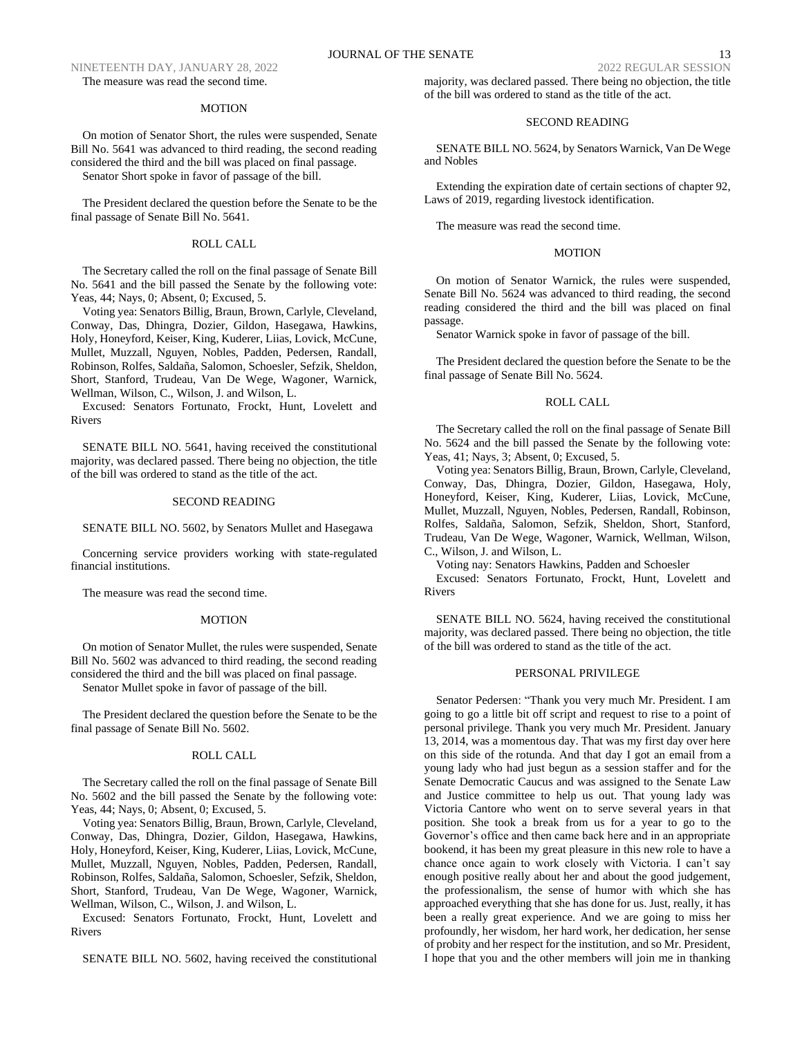NINETEENTH DAY, JANUARY 28, 2022 2022 2022 2022 2022 REGULAR SESSION The measure was read the second time.

## MOTION

On motion of Senator Short, the rules were suspended, Senate Bill No. 5641 was advanced to third reading, the second reading considered the third and the bill was placed on final passage. Senator Short spoke in favor of passage of the bill.

The President declared the question before the Senate to be the final passage of Senate Bill No. 5641.

## ROLL CALL

The Secretary called the roll on the final passage of Senate Bill No. 5641 and the bill passed the Senate by the following vote: Yeas, 44; Nays, 0; Absent, 0; Excused, 5.

Voting yea: Senators Billig, Braun, Brown, Carlyle, Cleveland, Conway, Das, Dhingra, Dozier, Gildon, Hasegawa, Hawkins, Holy, Honeyford, Keiser, King, Kuderer, Liias, Lovick, McCune, Mullet, Muzzall, Nguyen, Nobles, Padden, Pedersen, Randall, Robinson, Rolfes, Saldaña, Salomon, Schoesler, Sefzik, Sheldon, Short, Stanford, Trudeau, Van De Wege, Wagoner, Warnick, Wellman, Wilson, C., Wilson, J. and Wilson, L.

Excused: Senators Fortunato, Frockt, Hunt, Lovelett and Rivers

SENATE BILL NO. 5641, having received the constitutional majority, was declared passed. There being no objection, the title of the bill was ordered to stand as the title of the act.

#### SECOND READING

#### SENATE BILL NO. 5602, by Senators Mullet and Hasegawa

Concerning service providers working with state-regulated financial institutions.

The measure was read the second time.

### MOTION

On motion of Senator Mullet, the rules were suspended, Senate Bill No. 5602 was advanced to third reading, the second reading considered the third and the bill was placed on final passage.

Senator Mullet spoke in favor of passage of the bill.

The President declared the question before the Senate to be the final passage of Senate Bill No. 5602.

# ROLL CALL

The Secretary called the roll on the final passage of Senate Bill No. 5602 and the bill passed the Senate by the following vote: Yeas, 44; Nays, 0; Absent, 0; Excused, 5.

Voting yea: Senators Billig, Braun, Brown, Carlyle, Cleveland, Conway, Das, Dhingra, Dozier, Gildon, Hasegawa, Hawkins, Holy, Honeyford, Keiser, King, Kuderer, Liias, Lovick, McCune, Mullet, Muzzall, Nguyen, Nobles, Padden, Pedersen, Randall, Robinson, Rolfes, Saldaña, Salomon, Schoesler, Sefzik, Sheldon, Short, Stanford, Trudeau, Van De Wege, Wagoner, Warnick, Wellman, Wilson, C., Wilson, J. and Wilson, L.

Excused: Senators Fortunato, Frockt, Hunt, Lovelett and Rivers

SENATE BILL NO. 5602, having received the constitutional

majority, was declared passed. There being no objection, the title of the bill was ordered to stand as the title of the act.

# SECOND READING

SENATE BILL NO. 5624, by Senators Warnick, Van De Wege and Nobles

Extending the expiration date of certain sections of chapter 92, Laws of 2019, regarding livestock identification.

The measure was read the second time.

# MOTION

On motion of Senator Warnick, the rules were suspended, Senate Bill No. 5624 was advanced to third reading, the second reading considered the third and the bill was placed on final passage.

Senator Warnick spoke in favor of passage of the bill.

The President declared the question before the Senate to be the final passage of Senate Bill No. 5624.

## ROLL CALL

The Secretary called the roll on the final passage of Senate Bill No. 5624 and the bill passed the Senate by the following vote: Yeas, 41; Nays, 3; Absent, 0; Excused, 5.

Voting yea: Senators Billig, Braun, Brown, Carlyle, Cleveland, Conway, Das, Dhingra, Dozier, Gildon, Hasegawa, Holy, Honeyford, Keiser, King, Kuderer, Liias, Lovick, McCune, Mullet, Muzzall, Nguyen, Nobles, Pedersen, Randall, Robinson, Rolfes, Saldaña, Salomon, Sefzik, Sheldon, Short, Stanford, Trudeau, Van De Wege, Wagoner, Warnick, Wellman, Wilson, C., Wilson, J. and Wilson, L.

Voting nay: Senators Hawkins, Padden and Schoesler

Excused: Senators Fortunato, Frockt, Hunt, Lovelett and Rivers

SENATE BILL NO. 5624, having received the constitutional majority, was declared passed. There being no objection, the title of the bill was ordered to stand as the title of the act.

## PERSONAL PRIVILEGE

Senator Pedersen: "Thank you very much Mr. President. I am going to go a little bit off script and request to rise to a point of personal privilege. Thank you very much Mr. President. January 13, 2014, was a momentous day. That was my first day over here on this side of the rotunda. And that day I got an email from a young lady who had just begun as a session staffer and for the Senate Democratic Caucus and was assigned to the Senate Law and Justice committee to help us out. That young lady was Victoria Cantore who went on to serve several years in that position. She took a break from us for a year to go to the Governor's office and then came back here and in an appropriate bookend, it has been my great pleasure in this new role to have a chance once again to work closely with Victoria. I can't say enough positive really about her and about the good judgement, the professionalism, the sense of humor with which she has approached everything that she has done for us. Just, really, it has been a really great experience. And we are going to miss her profoundly, her wisdom, her hard work, her dedication, her sense of probity and her respect for the institution, and so Mr. President, I hope that you and the other members will join me in thanking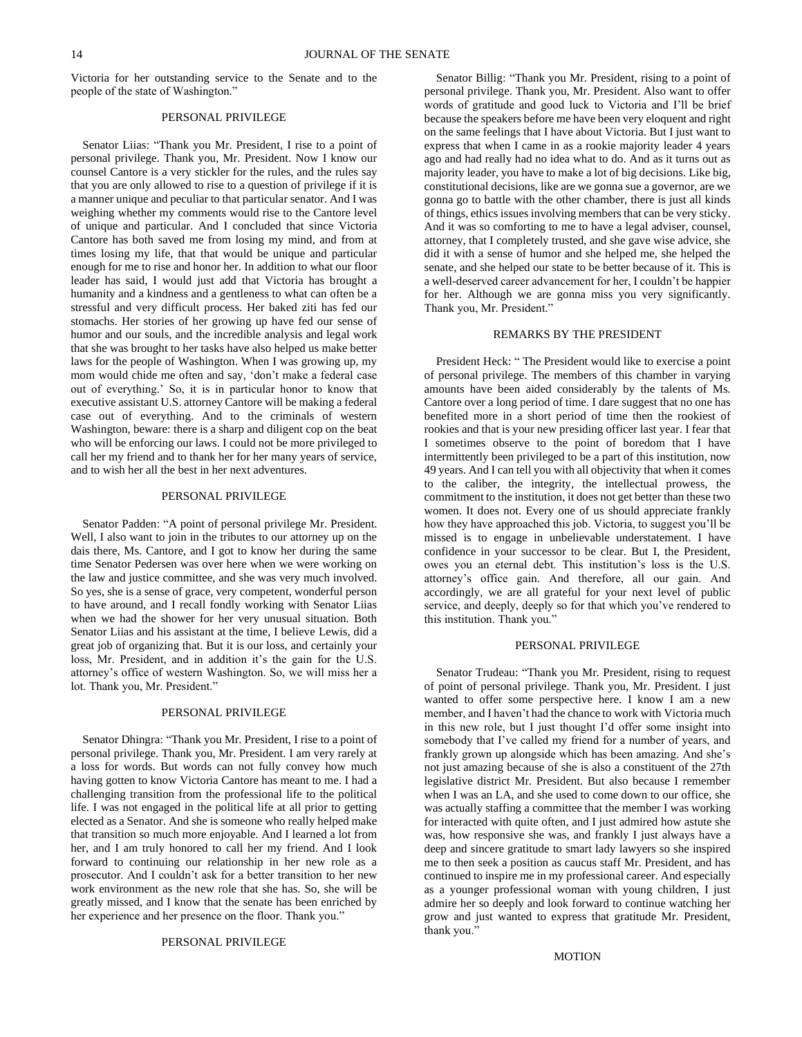Victoria for her outstanding service to the Senate and to the people of the state of Washington."

## PERSONAL PRIVILEGE

Senator Liias: "Thank you Mr. President, I rise to a point of personal privilege. Thank you, Mr. President. Now I know our counsel Cantore is a very stickler for the rules, and the rules say that you are only allowed to rise to a question of privilege if it is a manner unique and peculiar to that particular senator. And I was weighing whether my comments would rise to the Cantore level of unique and particular. And I concluded that since Victoria Cantore has both saved me from losing my mind, and from at times losing my life, that that would be unique and particular enough for me to rise and honor her. In addition to what our floor leader has said, I would just add that Victoria has brought a humanity and a kindness and a gentleness to what can often be a stressful and very difficult process. Her baked ziti has fed our stomachs. Her stories of her growing up have fed our sense of humor and our souls, and the incredible analysis and legal work that she was brought to her tasks have also helped us make better laws for the people of Washington. When I was growing up, my mom would chide me often and say, 'don't make a federal case out of everything.' So, it is in particular honor to know that executive assistant U.S. attorney Cantore will be making a federal case out of everything. And to the criminals of western Washington, beware: there is a sharp and diligent cop on the beat who will be enforcing our laws. I could not be more privileged to call her my friend and to thank her for her many years of service, and to wish her all the best in her next adventures.

# PERSONAL PRIVILEGE

Senator Padden: "A point of personal privilege Mr. President. Well, I also want to join in the tributes to our attorney up on the dais there, Ms. Cantore, and I got to know her during the same time Senator Pedersen was over here when we were working on the law and justice committee, and she was very much involved. So yes, she is a sense of grace, very competent, wonderful person to have around, and I recall fondly working with Senator Liias when we had the shower for her very unusual situation. Both Senator Liias and his assistant at the time, I believe Lewis, did a great job of organizing that. But it is our loss, and certainly your loss, Mr. President, and in addition it's the gain for the U.S. attorney's office of western Washington. So, we will miss her a lot. Thank you, Mr. President."

## PERSONAL PRIVILEGE

Senator Dhingra: "Thank you Mr. President, I rise to a point of personal privilege. Thank you, Mr. President. I am very rarely at a loss for words. But words can not fully convey how much having gotten to know Victoria Cantore has meant to me. I had a challenging transition from the professional life to the political life. I was not engaged in the political life at all prior to getting elected as a Senator. And she is someone who really helped make that transition so much more enjoyable. And I learned a lot from her, and I am truly honored to call her my friend. And I look forward to continuing our relationship in her new role as a prosecutor. And I couldn't ask for a better transition to her new work environment as the new role that she has. So, she will be greatly missed, and I know that the senate has been enriched by her experience and her presence on the floor. Thank you."

### PERSONAL PRIVILEGE

Senator Billig: "Thank you Mr. President, rising to a point of personal privilege. Thank you, Mr. President. Also want to offer words of gratitude and good luck to Victoria and I'll be brief because the speakers before me have been very eloquent and right on the same feelings that I have about Victoria. But I just want to express that when I came in as a rookie majority leader 4 years ago and had really had no idea what to do. And as it turns out as majority leader, you have to make a lot of big decisions. Like big, constitutional decisions, like are we gonna sue a governor, are we gonna go to battle with the other chamber, there is just all kinds of things, ethics issues involving members that can be very sticky. And it was so comforting to me to have a legal adviser, counsel, attorney, that I completely trusted, and she gave wise advice, she did it with a sense of humor and she helped me, she helped the senate, and she helped our state to be better because of it. This is a well-deserved career advancement for her, I couldn't be happier for her. Although we are gonna miss you very significantly. Thank you, Mr. President."

#### REMARKS BY THE PRESIDENT

President Heck: " The President would like to exercise a point of personal privilege. The members of this chamber in varying amounts have been aided considerably by the talents of Ms. Cantore over a long period of time. I dare suggest that no one has benefited more in a short period of time then the rookiest of rookies and that is your new presiding officer last year. I fear that I sometimes observe to the point of boredom that I have intermittently been privileged to be a part of this institution, now 49 years. And I can tell you with all objectivity that when it comes to the caliber, the integrity, the intellectual prowess, the commitment to the institution, it does not get better than these two women. It does not. Every one of us should appreciate frankly how they have approached this job. Victoria, to suggest you'll be missed is to engage in unbelievable understatement. I have confidence in your successor to be clear. But I, the President, owes you an eternal debt. This institution's loss is the U.S. attorney's office gain. And therefore, all our gain. And accordingly, we are all grateful for your next level of public service, and deeply, deeply so for that which you've rendered to this institution. Thank you."

### PERSONAL PRIVILEGE

Senator Trudeau: "Thank you Mr. President, rising to request of point of personal privilege. Thank you, Mr. President. I just wanted to offer some perspective here. I know I am a new member, and I haven't had the chance to work with Victoria much in this new role, but I just thought I'd offer some insight into somebody that I've called my friend for a number of years, and frankly grown up alongside which has been amazing. And she's not just amazing because of she is also a constituent of the 27th legislative district Mr. President. But also because I remember when I was an LA, and she used to come down to our office, she was actually staffing a committee that the member I was working for interacted with quite often, and I just admired how astute she was, how responsive she was, and frankly I just always have a deep and sincere gratitude to smart lady lawyers so she inspired me to then seek a position as caucus staff Mr. President, and has continued to inspire me in my professional career. And especially as a younger professional woman with young children, I just admire her so deeply and look forward to continue watching her grow and just wanted to express that gratitude Mr. President, thank you."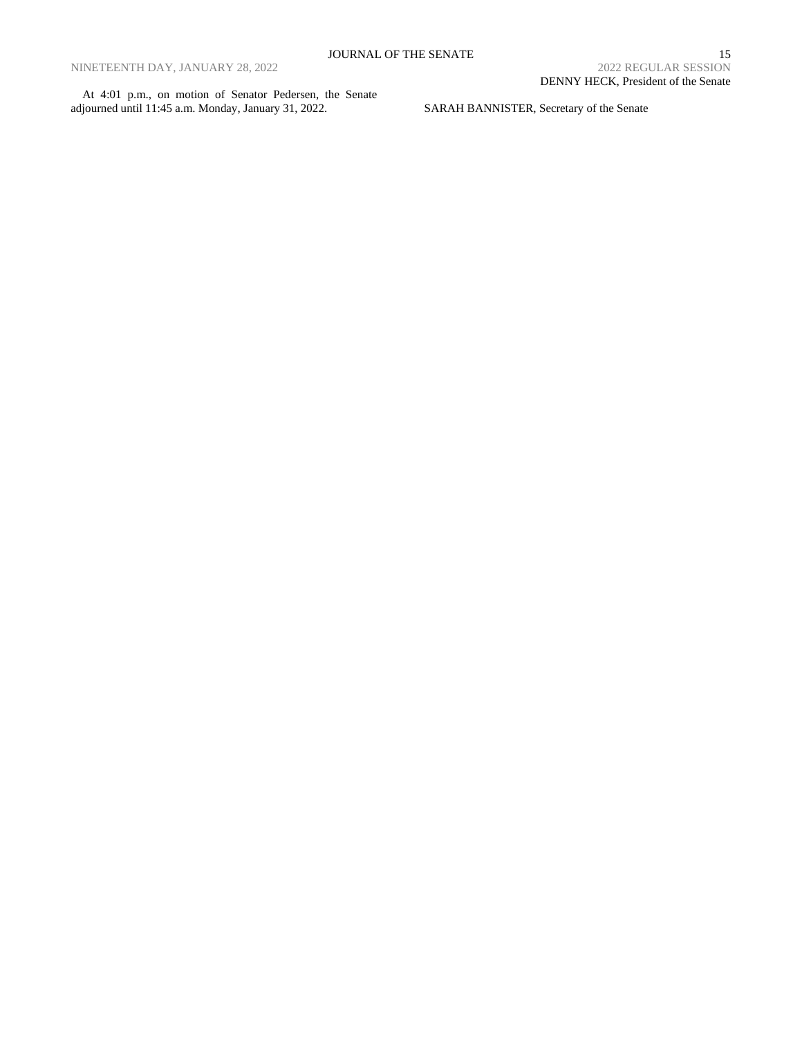At 4:01 p.m., on motion of Senator Pedersen, the Senate adjourned until 11:45 a.m. Monday, January 31, 2022.

SARAH BANNISTER, Secretary of the Senate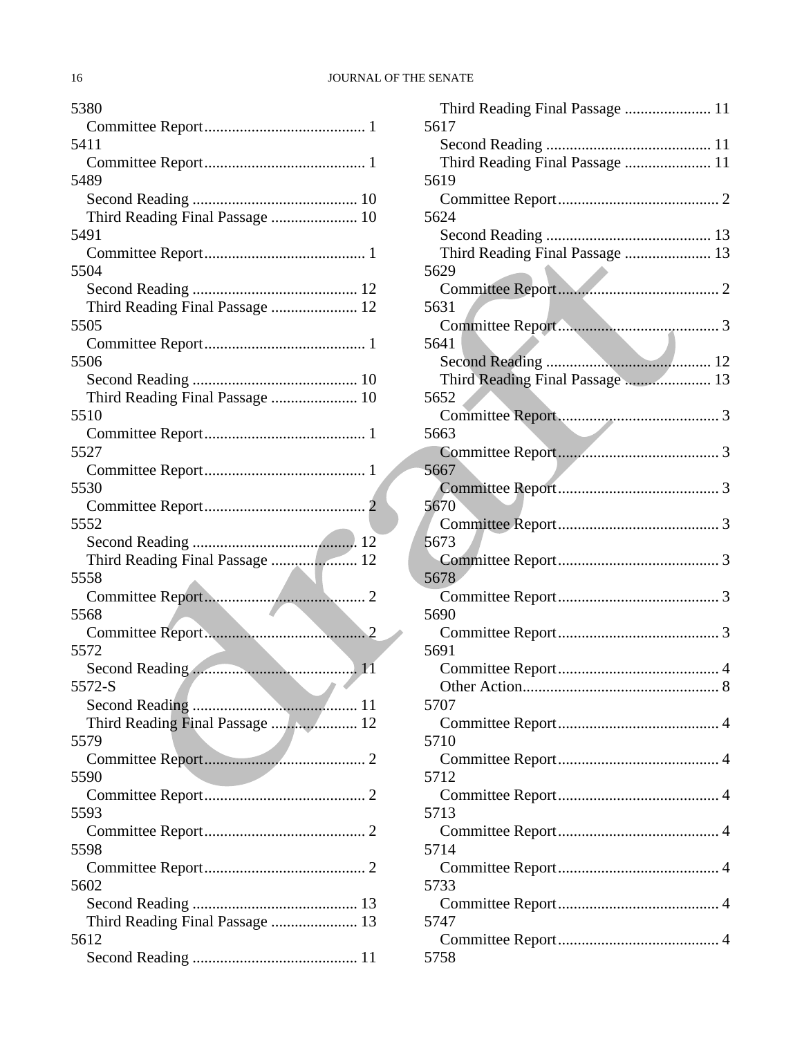| 5380                            |
|---------------------------------|
|                                 |
| 5411                            |
|                                 |
| 5489                            |
|                                 |
| Third Reading Final Passage  10 |
| 5491                            |
|                                 |
| 5504                            |
|                                 |
| Third Reading Final Passage  12 |
| 5505                            |
|                                 |
| 5506                            |
|                                 |
| Third Reading Final Passage  10 |
| 5510                            |
|                                 |
| 5527                            |
|                                 |
| 5530                            |
|                                 |
|                                 |
| 5552                            |
|                                 |
| Third Reading Final Passage  12 |
| 5558                            |
|                                 |
| 5568                            |
|                                 |
| 5572                            |
| Second Reading                  |
| 5572-S                          |
|                                 |
| Third Reading Final Passage  12 |
| 5579                            |
|                                 |
| 5590                            |
|                                 |
| 5593                            |
|                                 |
| 5598                            |
|                                 |
| 5602                            |
|                                 |
| Third Reading Final Passage  13 |
| 5612                            |
|                                 |
|                                 |

| Third Reading Final Passage  11 |
|---------------------------------|
| 5617                            |
|                                 |
| Third Reading Final Passage  11 |
| 5619                            |
|                                 |
| 5624                            |
|                                 |
| Third Reading Final Passage  13 |
| 5629                            |
| 5631                            |
|                                 |
| 5641                            |
|                                 |
| Third Reading Final Passage  13 |
| 5652                            |
|                                 |
| 5663                            |
|                                 |
| 5667                            |
|                                 |
| 5670                            |
|                                 |
| 5673                            |
|                                 |
| 5678                            |
| 5690                            |
|                                 |
| 5691                            |
|                                 |
| Other Action<br>. 8             |
| 5707                            |
|                                 |
| 5710                            |
|                                 |
| 5712                            |
|                                 |
| 5713                            |
|                                 |
| 5714                            |
|                                 |
| 5733                            |
| 5747                            |
|                                 |
| 5758                            |
|                                 |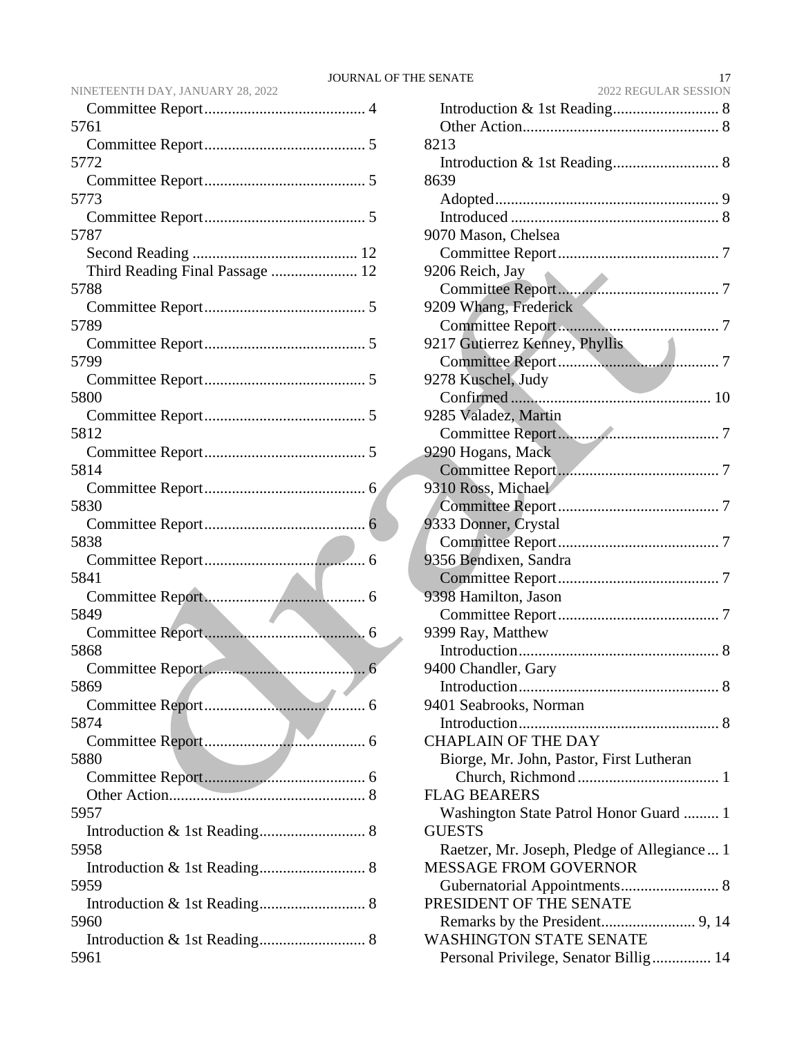| 5761                            |
|---------------------------------|
|                                 |
| 5772                            |
|                                 |
| 5773                            |
|                                 |
| 5787                            |
|                                 |
| Third Reading Final Passage  12 |
| 5788                            |
|                                 |
| 5789                            |
|                                 |
| 5799                            |
|                                 |
| 5800                            |
|                                 |
| 5812                            |
|                                 |
| 5814                            |
|                                 |
| 5830                            |
|                                 |
| 5838                            |
|                                 |
| 5841                            |
|                                 |
| 5849                            |
|                                 |
| 5868                            |
|                                 |
| 5869                            |
|                                 |
| 5874                            |
|                                 |
| 5880                            |
|                                 |
|                                 |
| 5957                            |
|                                 |
| 5958                            |
|                                 |
| 5959                            |
|                                 |
| 5960                            |
|                                 |
|                                 |

NINETEENTH DAY, JANUARY 28, 2022

| 2022 REGULAR SESSION                        |
|---------------------------------------------|
|                                             |
|                                             |
| 8213                                        |
|                                             |
| 8639                                        |
|                                             |
|                                             |
| 9070 Mason, Chelsea                         |
|                                             |
| 9206 Reich, Jay                             |
|                                             |
| 9209 Whang, Frederick                       |
|                                             |
| 9217 Gutierrez Kenney, Phyllis              |
|                                             |
| 9278 Kuschel, Judy                          |
|                                             |
|                                             |
| 9285 Valadez, Martin                        |
|                                             |
| 9290 Hogans, Mack                           |
|                                             |
| 9310 Ross, Michael                          |
|                                             |
| 9333 Donner, Crystal                        |
|                                             |
| 9356 Bendixen, Sandra                       |
|                                             |
| 9398 Hamilton, Jason                        |
|                                             |
| 9399 Ray, Matthew                           |
|                                             |
| 9400 Chandler, Gary                         |
|                                             |
| 9401 Seabrooks, Norman                      |
|                                             |
| <b>CHAPLAIN OF THE DAY</b>                  |
|                                             |
| Biorge, Mr. John, Pastor, First Lutheran    |
|                                             |
| <b>FLAG BEARERS</b>                         |
| Washington State Patrol Honor Guard  1      |
| <b>GUESTS</b>                               |
| Raetzer, Mr. Joseph, Pledge of Allegiance 1 |
| <b>MESSAGE FROM GOVERNOR</b>                |
|                                             |
| PRESIDENT OF THE SENATE                     |
|                                             |
| <b>WASHINGTON STATE SENATE</b>              |
| Personal Privilege, Senator Billig 14       |
|                                             |